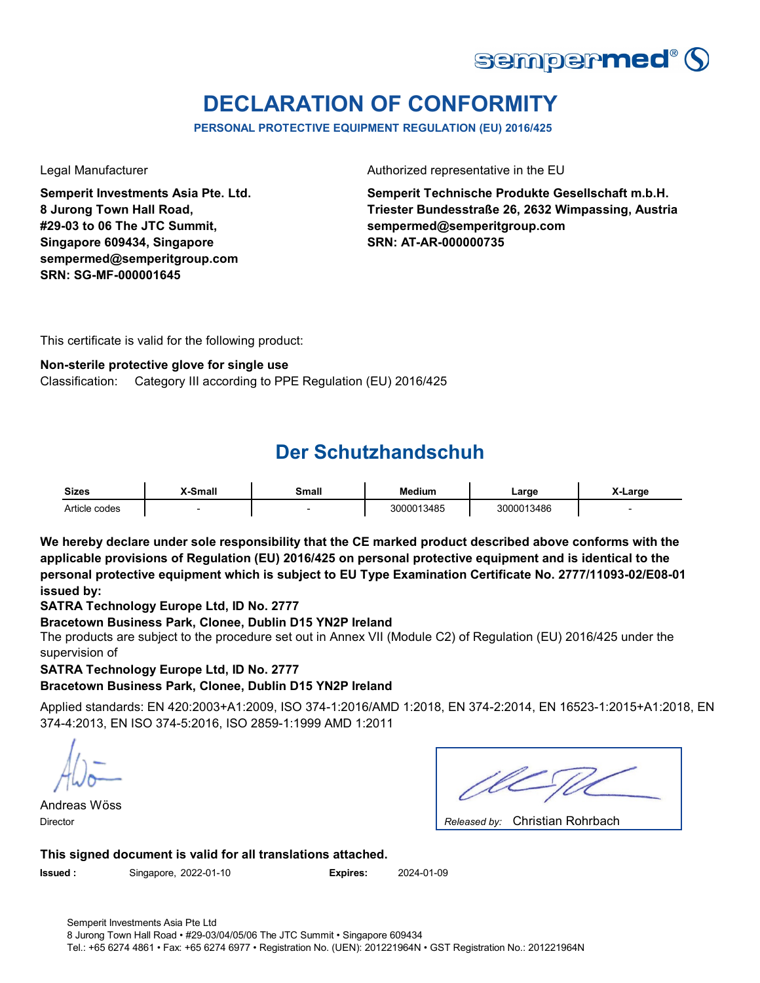

## **DECLARATION OF CONFORMITY**

**PERSONAL PROTECTIVE EQUIPMENT REGULATION (EU) 2016/425**

**Semperit Investments Asia Pte. Ltd. 8 Jurong Town Hall Road, #29-03 to 06 The JTC Summit, Singapore 609434, Singapore sempermed@semperitgroup.com SRN: SG-MF-000001645**

Legal Manufacturer **Authorized representative in the EU** 

**Semperit Technische Produkte Gesellschaft m.b.H. Triester Bundesstraße 26, 2632 Wimpassing, Austria sempermed@semperitgroup.com SRN: AT-AR-000000735**

This certificate is valid for the following product:

### **Non-sterile protective glove for single use**

Classification: Category III according to PPE Regulation (EU) 2016/425

### **Der Schutzhandschuh**

| <b>Sizes</b>  | X-Small | <b>Small</b> | <b>Medium</b> | .arɑe      | Large |
|---------------|---------|--------------|---------------|------------|-------|
| Article codes |         |              | 3000013485    | 3000013486 |       |

**We hereby declare under sole responsibility that the CE marked product described above conforms with the applicable provisions of Regulation (EU) 2016/425 on personal protective equipment and is identical to the personal protective equipment which is subject to EU Type Examination Certificate No. 2777/11093-02/E08-01 issued by:**

### **SATRA Technology Europe Ltd, ID No. 2777**

### **Bracetown Business Park, Clonee, Dublin D15 YN2P Ireland**

The products are subject to the procedure set out in Annex VII (Module C2) of Regulation (EU) 2016/425 under the supervision of

**SATRA Technology Europe Ltd, ID No. 2777**

**Bracetown Business Park, Clonee, Dublin D15 YN2P Ireland**

Applied standards: EN 420:2003+A1:2009, ISO 374-1:2016/AMD 1:2018, EN 374-2:2014, EN 16523-1:2015+A1:2018, EN 374-4:2013, EN ISO 374-5:2016, ISO 2859-1:1999 AMD 1:2011

Andreas Wöss Director *Released by:* 

| Released by: Christian Rohrbach |  |
|---------------------------------|--|

### **This signed document is valid for all translations attached.**

**Issued :** Singapore, 2022-01-10 **Expires:** 2024-01-09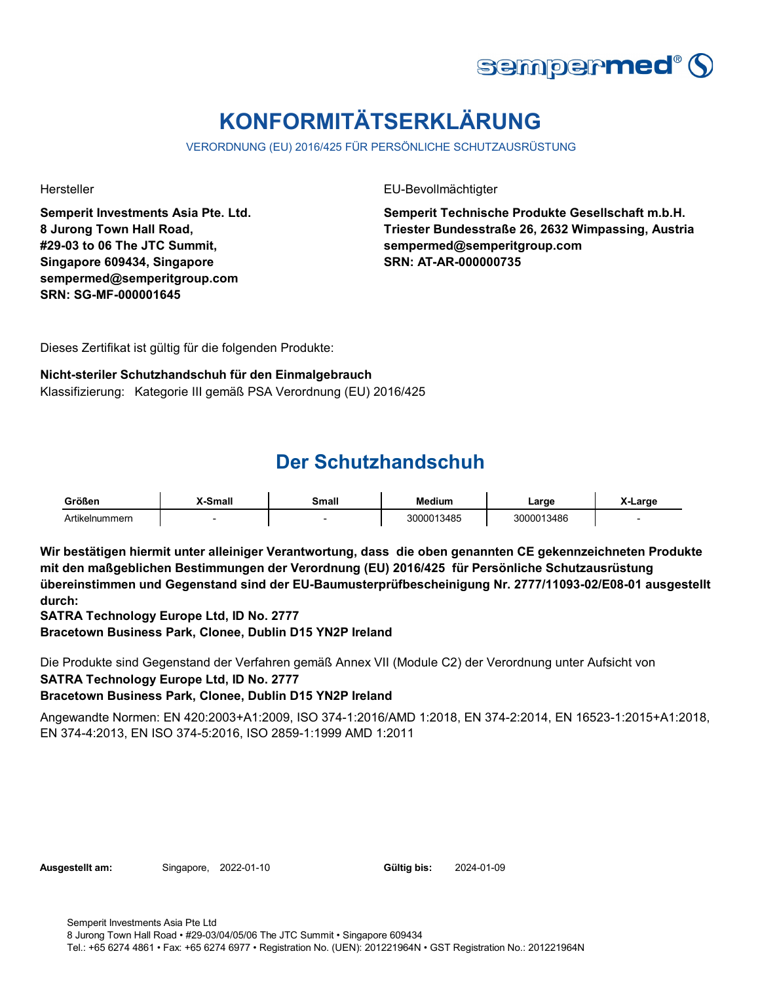

# **KONFORMITÄTSERKLÄRUNG**

VERORDNUNG (EU) 2016/425 FÜR PERSÖNLICHE SCHUTZAUSRÜSTUNG

**Semperit Investments Asia Pte. Ltd. 8 Jurong Town Hall Road, #29-03 to 06 The JTC Summit, Singapore 609434, Singapore sempermed@semperitgroup.com SRN: SG-MF-000001645**

Hersteller EU-Bevollmächtigter

**Semperit Technische Produkte Gesellschaft m.b.H. Triester Bundesstraße 26, 2632 Wimpassing, Austria sempermed@semperitgroup.com SRN: AT-AR-000000735**

Dieses Zertifikat ist gültig für die folgenden Produkte:

### **Nicht-steriler Schutzhandschuh für den Einmalgebrauch**

Klassifizierung: Kategorie III gemäß PSA Verordnung (EU) 2016/425

### **Der Schutzhandschuh**

| Größen         | <b>Small</b> | Small | <b>Medium</b> | ∟arɑe      | .arge |
|----------------|--------------|-------|---------------|------------|-------|
| Artikelnummern |              |       | 3000013485    | 3000013486 |       |

**Wir bestätigen hiermit unter alleiniger Verantwortung, dass die oben genannten CE gekennzeichneten Produkte mit den maßgeblichen Bestimmungen der Verordnung (EU) 2016/425 für Persönliche Schutzausrüstung übereinstimmen und Gegenstand sind der EU-Baumusterprüfbescheinigung Nr. 2777/11093-02/E08-01 ausgestellt durch:**

**SATRA Technology Europe Ltd, ID No. 2777**

**Bracetown Business Park, Clonee, Dublin D15 YN2P Ireland**

Die Produkte sind Gegenstand der Verfahren gemäß Annex VII (Module C2) der Verordnung unter Aufsicht von **SATRA Technology Europe Ltd, ID No. 2777**

### **Bracetown Business Park, Clonee, Dublin D15 YN2P Ireland**

Angewandte Normen: EN 420:2003+A1:2009, ISO 374-1:2016/AMD 1:2018, EN 374-2:2014, EN 16523-1:2015+A1:2018, EN 374-4:2013, EN ISO 374-5:2016, ISO 2859-1:1999 AMD 1:2011

**Ausgestellt am:** Singapore, 2022-01-10

Gültig bis: 2024-01-09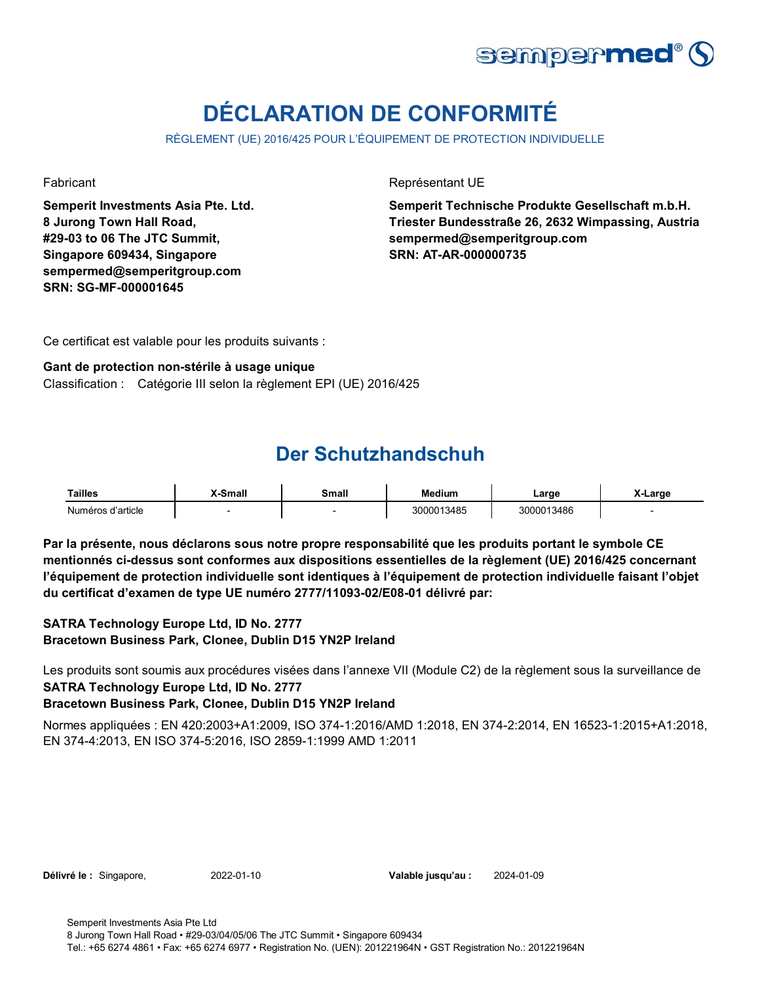

# **DÉCLARATION DE CONFORMITÉ**

RÈGLEMENT (UE) 2016/425 POUR L'ÉQUIPEMENT DE PROTECTION INDIVIDUELLE

**Semperit Investments Asia Pte. Ltd. 8 Jurong Town Hall Road, #29-03 to 06 The JTC Summit, Singapore 609434, Singapore sempermed@semperitgroup.com SRN: SG-MF-000001645**

Fabricant **Représentant UE** 

**Semperit Technische Produkte Gesellschaft m.b.H. Triester Bundesstraße 26, 2632 Wimpassing, Austria sempermed@semperitgroup.com SRN: AT-AR-000000735**

Ce certificat est valable pour les produits suivants :

### **Gant de protection non-stérile à usage unique**

Classification : Catégorie III selon la règlement EPI (UE) 2016/425

### **Der Schutzhandschuh**

| Tailles           | -Small | Small | Medium     | Large      | X-Large |
|-------------------|--------|-------|------------|------------|---------|
| Numéros d'article |        |       | 3000013485 | 3000013486 |         |

**Par la présente, nous déclarons sous notre propre responsabilité que les produits portant le symbole CE mentionnés ci-dessus sont conformes aux dispositions essentielles de la règlement (UE) 2016/425 concernant l'équipement de protection individuelle sont identiques à l'équipement de protection individuelle faisant l'objet du certificat d'examen de type UE numéro 2777/11093-02/E08-01 délivré par:**

### **SATRA Technology Europe Ltd, ID No. 2777 Bracetown Business Park, Clonee, Dublin D15 YN2P Ireland**

Les produits sont soumis aux procédures visées dans l'annexe VII (Module C2) de la règlement sous la surveillance de **SATRA Technology Europe Ltd, ID No. 2777**

### **Bracetown Business Park, Clonee, Dublin D15 YN2P Ireland**

Normes appliquées : EN 420:2003+A1:2009, ISO 374-1:2016/AMD 1:2018, EN 374-2:2014, EN 16523-1:2015+A1:2018, EN 374-4:2013, EN ISO 374-5:2016, ISO 2859-1:1999 AMD 1:2011

**Délivré le :** Singapore, 2022-01-10

Valable jusqu'au : 2024-01-09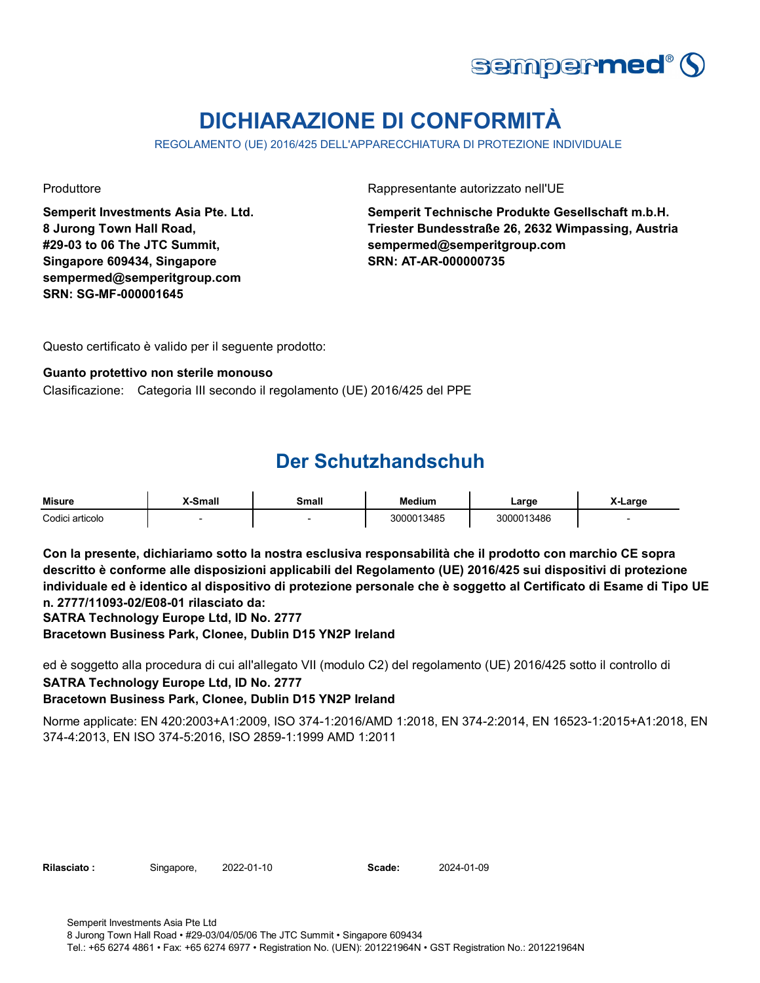

# **DICHIARAZIONE DI CONFORMITÀ**

REGOLAMENTO (UE) 2016/425 DELL'APPARECCHIATURA DI PROTEZIONE INDIVIDUALE

**Semperit Investments Asia Pte. Ltd. 8 Jurong Town Hall Road, #29-03 to 06 The JTC Summit, Singapore 609434, Singapore sempermed@semperitgroup.com SRN: SG-MF-000001645**

Produttore **Rappresentante autorizzato nell'UE** 

**Semperit Technische Produkte Gesellschaft m.b.H. Triester Bundesstraße 26, 2632 Wimpassing, Austria sempermed@semperitgroup.com SRN: AT-AR-000000735**

Questo certificato è valido per il seguente prodotto:

#### **Guanto protettivo non sterile monouso**

Clasificazione: Categoria III secondo il regolamento (UE) 2016/425 del PPE

### **Der Schutzhandschuh**

| <b>Misure</b>   | X-Small | Small | <b>Medium</b> | ∟arge      | -Large |
|-----------------|---------|-------|---------------|------------|--------|
| Codici articolo |         |       | 3000013485    | 3000013486 |        |

**Con la presente, dichiariamo sotto la nostra esclusiva responsabilità che il prodotto con marchio CE sopra descritto è conforme alle disposizioni applicabili del Regolamento (UE) 2016/425 sui dispositivi di protezione individuale ed è identico al dispositivo di protezione personale che è soggetto al Certificato di Esame di Tipo UE n. 2777/11093-02/E08-01 rilasciato da:**

**SATRA Technology Europe Ltd, ID No. 2777**

**Bracetown Business Park, Clonee, Dublin D15 YN2P Ireland**

ed è soggetto alla procedura di cui all'allegato VII (modulo C2) del regolamento (UE) 2016/425 sotto il controllo di **SATRA Technology Europe Ltd, ID No. 2777 Bracetown Business Park, Clonee, Dublin D15 YN2P Ireland**

Norme applicate: EN 420:2003+A1:2009, ISO 374-1:2016/AMD 1:2018, EN 374-2:2014, EN 16523-1:2015+A1:2018, EN 374-4:2013, EN ISO 374-5:2016, ISO 2859-1:1999 AMD 1:2011

Rilasciato : Singapore, 2022-01-10 **Scade:** 

2024-01-09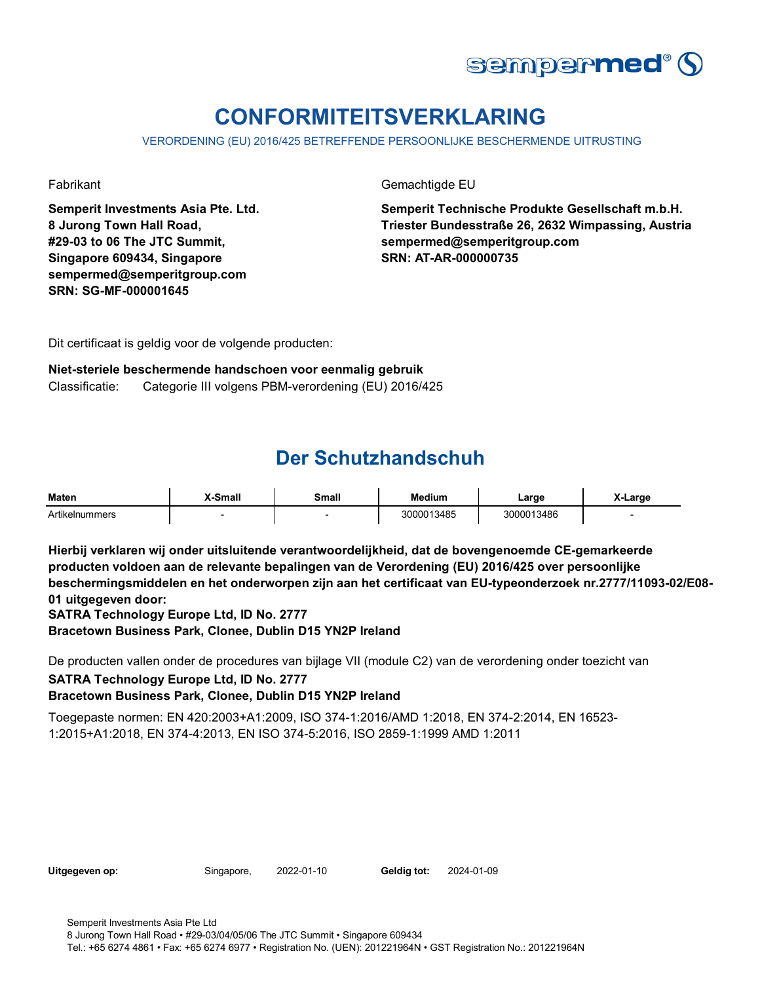

# **CONFORMITEITSVERKLARING**

VERORDENING (EU) 2016/425 BETREFFENDE PERSOONLIJKE BESCHERMENDE UITRUSTING

**Semperit Investments Asia Pte. Ltd. 8 Jurong Town Hall Road, #29-03 to 06 The JTC Summit, Singapore 609434, Singapore sempermed@semperitgroup.com SRN: SG-MF-000001645**

Fabrikant Gemachtigde EU

**Semperit Technische Produkte Gesellschaft m.b.H. Triester Bundesstraße 26, 2632 Wimpassing, Austria sempermed@semperitgroup.com SRN: AT-AR-000000735**

Dit certificaat is geldig voor de volgende producten:

#### **Niet-steriele beschermende handschoen voor eenmalig gebruik**

Classificatie: Categorie III volgens PBM-verordening (EU) 2016/425

### **Der Schutzhandschuh**

| <b>Maten</b>   | <b>X-Small</b> | Small | <b>Medium</b> | Large      | X-Large |
|----------------|----------------|-------|---------------|------------|---------|
| Artikelnummers |                |       | 3000013485    | 3000013486 |         |

**Hierbij verklaren wij onder uitsluitende verantwoordelijkheid, dat de bovengenoemde CE-gemarkeerde producten voldoen aan de relevante bepalingen van de Verordening (EU) 2016/425 over persoonlijke beschermingsmiddelen en het onderworpen zijn aan het certificaat van EU-typeonderzoek nr.2777/11093-02/E08- 01 uitgegeven door:**

**SATRA Technology Europe Ltd, ID No. 2777**

**Bracetown Business Park, Clonee, Dublin D15 YN2P Ireland**

De producten vallen onder de procedures van bijlage VII (module C2) van de verordening onder toezicht van **SATRA Technology Europe Ltd, ID No. 2777**

### **Bracetown Business Park, Clonee, Dublin D15 YN2P Ireland**

Toegepaste normen: EN 420:2003+A1:2009, ISO 374-1:2016/AMD 1:2018, EN 374-2:2014, EN 16523- 1:2015+A1:2018, EN 374-4:2013, EN ISO 374-5:2016, ISO 2859-1:1999 AMD 1:2011

| Uitgegeven op: |  |
|----------------|--|
|----------------|--|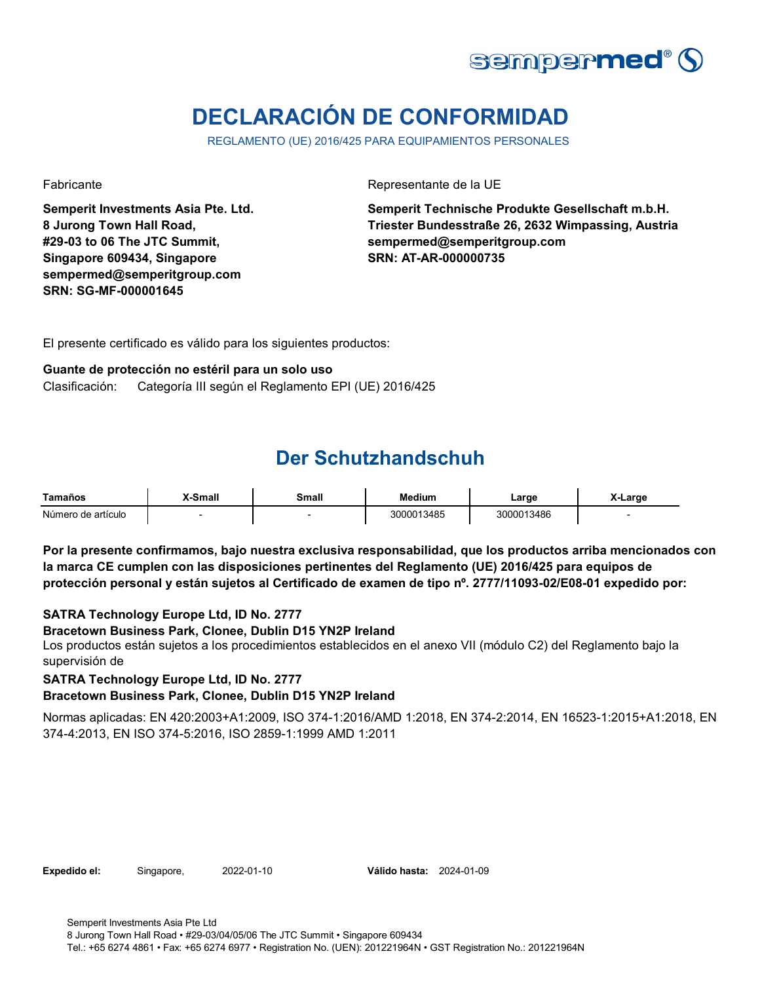

# **DECLARACIÓN DE CONFORMIDAD**

REGLAMENTO (UE) 2016/425 PARA EQUIPAMIENTOS PERSONALES

**Semperit Investments Asia Pte. Ltd. 8 Jurong Town Hall Road, #29-03 to 06 The JTC Summit, Singapore 609434, Singapore sempermed@semperitgroup.com SRN: SG-MF-000001645**

Fabricante Representante de la UE

**Semperit Technische Produkte Gesellschaft m.b.H. Triester Bundesstraße 26, 2632 Wimpassing, Austria sempermed@semperitgroup.com SRN: AT-AR-000000735**

El presente certificado es válido para los siguientes productos:

#### **Guante de protección no estéril para un solo uso**

Clasificación: Categoría III según el Reglamento EPI (UE) 2016/425

### **Der Schutzhandschuh**

| Tamaños            | X-Small | Small | <b>Medium</b> | ∟arge      | X-Large |
|--------------------|---------|-------|---------------|------------|---------|
| Número de artículo |         |       | 3000013485    | 3000013486 |         |

**Por la presente confirmamos, bajo nuestra exclusiva responsabilidad, que los productos arriba mencionados con la marca CE cumplen con las disposiciones pertinentes del Reglamento (UE) 2016/425 para equipos de protección personal y están sujetos al Certificado de examen de tipo nº. 2777/11093-02/E08-01 expedido por:**

### **SATRA Technology Europe Ltd, ID No. 2777**

#### **Bracetown Business Park, Clonee, Dublin D15 YN2P Ireland**

Los productos están sujetos a los procedimientos establecidos en el anexo VII (módulo C2) del Reglamento bajo la supervisión de

**SATRA Technology Europe Ltd, ID No. 2777**

#### **Bracetown Business Park, Clonee, Dublin D15 YN2P Ireland**

Normas aplicadas: EN 420:2003+A1:2009, ISO 374-1:2016/AMD 1:2018, EN 374-2:2014, EN 16523-1:2015+A1:2018, EN 374-4:2013, EN ISO 374-5:2016, ISO 2859-1:1999 AMD 1:2011

**Expedido el:** Singapore, **Válido hasta:** 2022-01-10 2024-01-09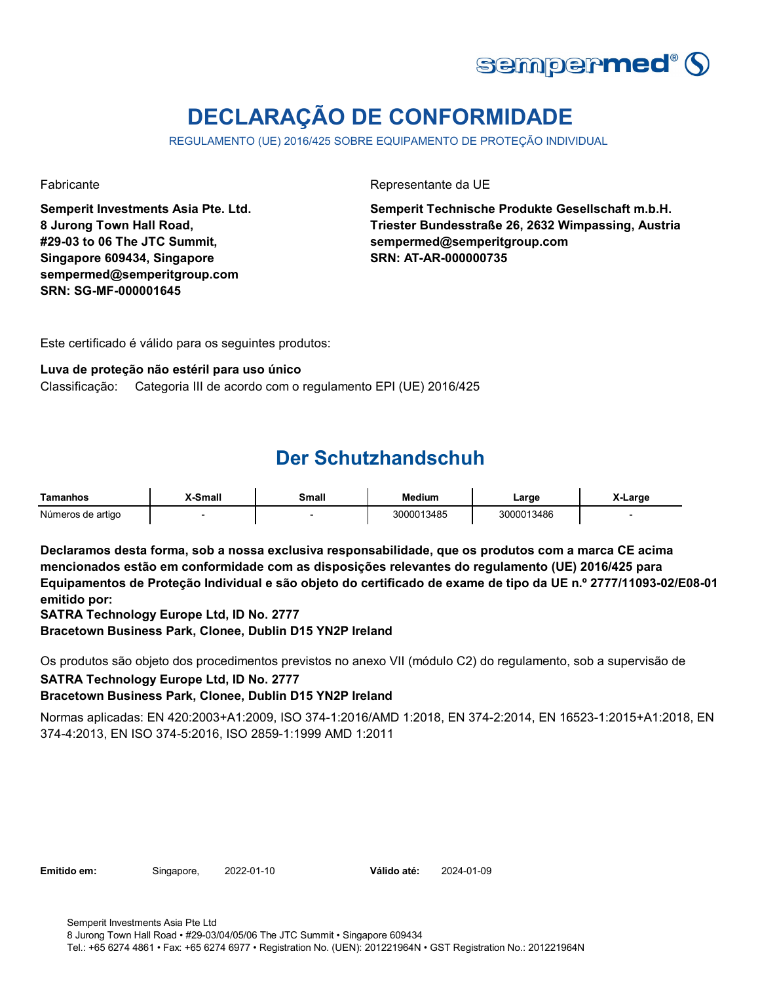

# **DECLARAÇÃO DE CONFORMIDADE**

REGULAMENTO (UE) 2016/425 SOBRE EQUIPAMENTO DE PROTEÇÃO INDIVIDUAL

**Semperit Investments Asia Pte. Ltd. 8 Jurong Town Hall Road, #29-03 to 06 The JTC Summit, Singapore 609434, Singapore sempermed@semperitgroup.com SRN: SG-MF-000001645**

Fabricante Representante da UE

**Semperit Technische Produkte Gesellschaft m.b.H. Triester Bundesstraße 26, 2632 Wimpassing, Austria sempermed@semperitgroup.com SRN: AT-AR-000000735**

Este certificado é válido para os seguintes produtos:

#### **Luva de proteção não estéril para uso único**

Classificação: Categoria III de acordo com o regulamento EPI (UE) 2016/425

### **Der Schutzhandschuh**

| Tamanhos          | -Small | Small | Medium     | ∟arge      | X-Large |
|-------------------|--------|-------|------------|------------|---------|
| Números de artigo |        |       | 3000013485 | 3000013486 |         |

**Declaramos desta forma, sob a nossa exclusiva responsabilidade, que os produtos com a marca CE acima mencionados estão em conformidade com as disposições relevantes do regulamento (UE) 2016/425 para Equipamentos de Proteção Individual e são objeto do certificado de exame de tipo da UE n.º 2777/11093-02/E08-01 emitido por:**

**SATRA Technology Europe Ltd, ID No. 2777**

**Bracetown Business Park, Clonee, Dublin D15 YN2P Ireland**

Os produtos são objeto dos procedimentos previstos no anexo VII (módulo C2) do regulamento, sob a supervisão de **SATRA Technology Europe Ltd, ID No. 2777**

### **Bracetown Business Park, Clonee, Dublin D15 YN2P Ireland**

Normas aplicadas: EN 420:2003+A1:2009, ISO 374-1:2016/AMD 1:2018, EN 374-2:2014, EN 16523-1:2015+A1:2018, EN 374-4:2013, EN ISO 374-5:2016, ISO 2859-1:1999 AMD 1:2011

**Emitido em:** Singapore, 2022-01-10

Válido até: 2024-01-09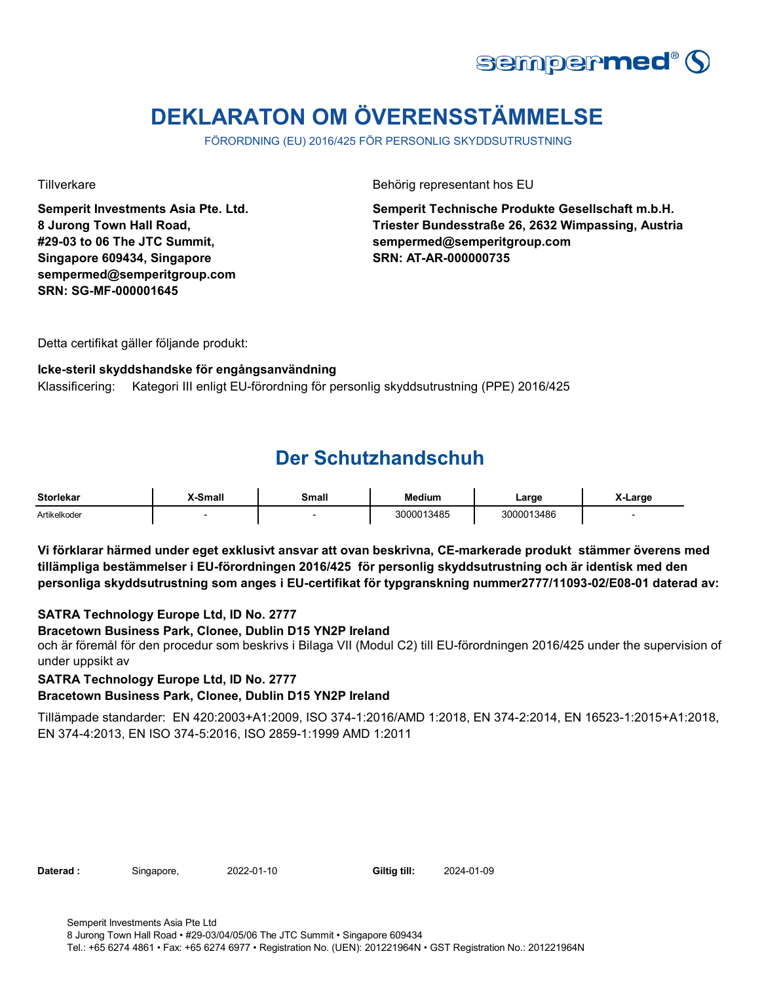

# **DEKLARATON OM ÖVERENSSTÄMMELSE**

FÖRORDNING (EU) 2016/425 FÖR PERSONLIG SKYDDSUTRUSTNING

**Semperit Investments Asia Pte. Ltd. 8 Jurong Town Hall Road, #29-03 to 06 The JTC Summit, Singapore 609434, Singapore sempermed@semperitgroup.com SRN: SG-MF-000001645**

Tillverkare Behörig representant hos EU

**Semperit Technische Produkte Gesellschaft m.b.H. Triester Bundesstraße 26, 2632 Wimpassing, Austria sempermed@semperitgroup.com SRN: AT-AR-000000735**

Detta certifikat gäller följande produkt:

#### **Icke-steril skyddshandske för engångsanvändning**

Klassificering: Kategori III enligt EU-förordning för personlig skyddsutrustning (PPE) 2016/425

### **Der Schutzhandschuh**

| <b>Storlekar</b> | -Small | Small<br>____ | <b>Medium</b> | ∟arɑe      | ∟arɑe |
|------------------|--------|---------------|---------------|------------|-------|
| Artikelkoder     |        |               | 3000013485    | 3000013486 |       |

**Vi förklarar härmed under eget exklusivt ansvar att ovan beskrivna, CE-markerade produkt stämmer överens med tillämpliga bestämmelser i EU-förordningen 2016/425 för personlig skyddsutrustning och är identisk med den personliga skyddsutrustning som anges i EU-certifikat för typgranskning nummer2777/11093-02/E08-01 daterad av:**

### **SATRA Technology Europe Ltd, ID No. 2777**

#### **Bracetown Business Park, Clonee, Dublin D15 YN2P Ireland**

och är föremål för den procedur som beskrivs i Bilaga VII (Modul C2) till EU-förordningen 2016/425 under the supervision of under uppsikt av

**SATRA Technology Europe Ltd, ID No. 2777**

### **Bracetown Business Park, Clonee, Dublin D15 YN2P Ireland**

Tillämpade standarder: EN 420:2003+A1:2009, ISO 374-1:2016/AMD 1:2018, EN 374-2:2014, EN 16523-1:2015+A1:2018, EN 374-4:2013, EN ISO 374-5:2016, ISO 2859-1:1999 AMD 1:2011

Daterad : Singapore, 2022-01-10 Giltig till: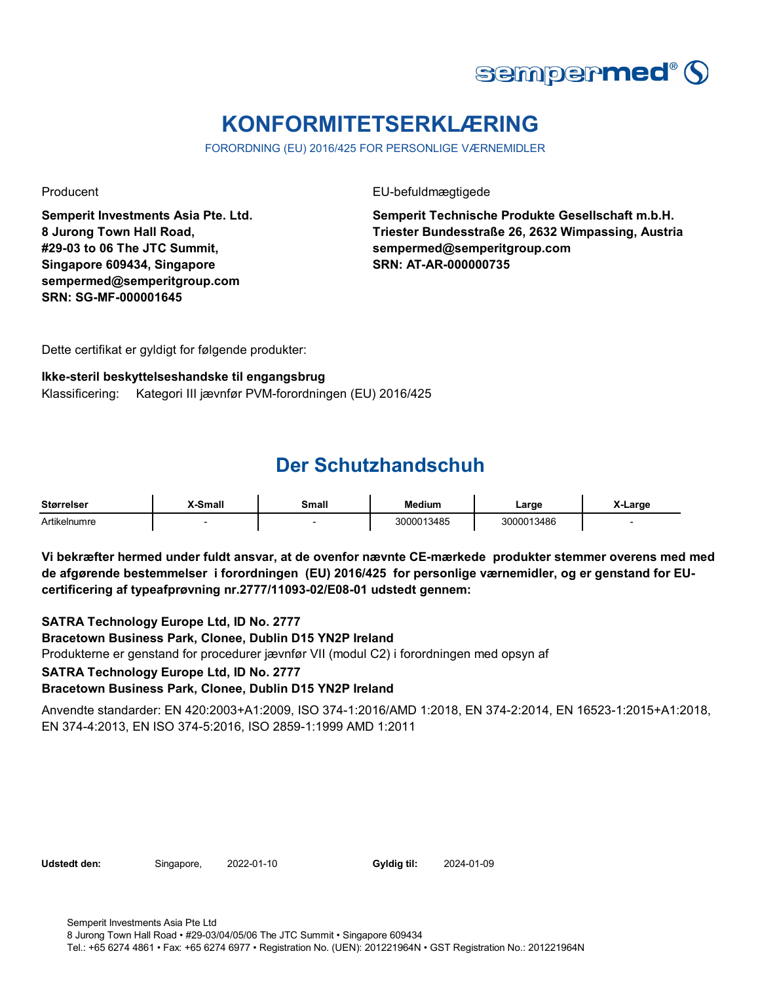

## **KONFORMITETSERKLÆRING**

FORORDNING (EU) 2016/425 FOR PERSONLIGE VÆRNEMIDLER

**Semperit Investments Asia Pte. Ltd. 8 Jurong Town Hall Road, #29-03 to 06 The JTC Summit, Singapore 609434, Singapore sempermed@semperitgroup.com SRN: SG-MF-000001645**

Producent EU-befuldmægtigede

**Semperit Technische Produkte Gesellschaft m.b.H. Triester Bundesstraße 26, 2632 Wimpassing, Austria sempermed@semperitgroup.com SRN: AT-AR-000000735**

Dette certifikat er gyldigt for følgende produkter:

#### **Ikke-steril beskyttelseshandske til engangsbrug**

Klassificering: Kategori III jævnfør PVM-forordningen (EU) 2016/425

### **Der Schutzhandschuh**

| <b>Størrelser</b> | -Small | Small | <b>Medium</b> | ∟arge      | ∧-Large |
|-------------------|--------|-------|---------------|------------|---------|
| Artikelnumre      |        |       | 3000013485    | 3000013486 |         |

**Vi bekræfter hermed under fuldt ansvar, at de ovenfor nævnte CE-mærkede produkter stemmer overens med med de afgørende bestemmelser i forordningen (EU) 2016/425 for personlige værnemidler, og er genstand for EUcertificering af typeafprøvning nr.2777/11093-02/E08-01 udstedt gennem:**

**SATRA Technology Europe Ltd, ID No. 2777**

**Bracetown Business Park, Clonee, Dublin D15 YN2P Ireland**

Produkterne er genstand for procedurer jævnfør VII (modul C2) i forordningen med opsyn af

**SATRA Technology Europe Ltd, ID No. 2777**

#### **Bracetown Business Park, Clonee, Dublin D15 YN2P Ireland**

Anvendte standarder: EN 420:2003+A1:2009, ISO 374-1:2016/AMD 1:2018, EN 374-2:2014, EN 16523-1:2015+A1:2018, EN 374-4:2013, EN ISO 374-5:2016, ISO 2859-1:1999 AMD 1:2011

Udstedt den: Singapore, 2022-01-10

Gyldig til: 2024-01-09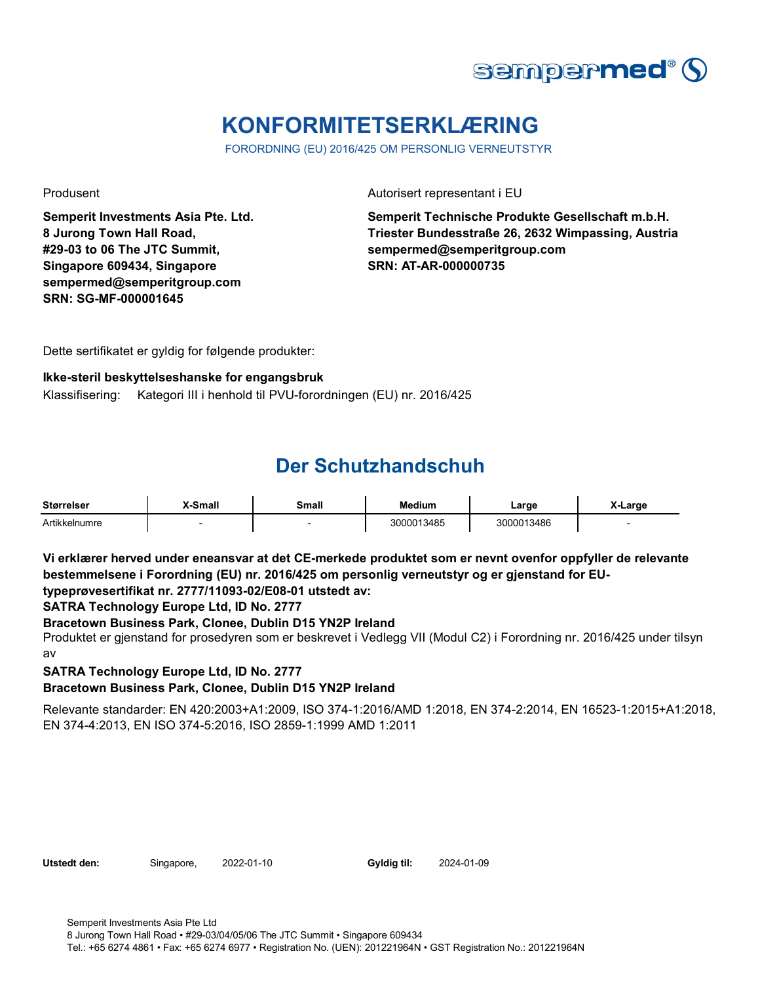

## **KONFORMITETSERKLÆRING**

FORORDNING (EU) 2016/425 OM PERSONLIG VERNEUTSTYR

**Semperit Investments Asia Pte. Ltd. 8 Jurong Town Hall Road, #29-03 to 06 The JTC Summit, Singapore 609434, Singapore sempermed@semperitgroup.com SRN: SG-MF-000001645**

Produsent Autorisert representant i EU

**Semperit Technische Produkte Gesellschaft m.b.H. Triester Bundesstraße 26, 2632 Wimpassing, Austria sempermed@semperitgroup.com SRN: AT-AR-000000735**

Dette sertifikatet er gyldig for følgende produkter:

### **Ikke-steril beskyttelseshanske for engangsbruk**

Klassifisering: Kategori III i henhold til PVU-forordningen (EU) nr. 2016/425

### **Der Schutzhandschuh**

| <b>Størrelser</b> | X-Small | Small | <b>Medium</b> | ∟arge      | X-Large |
|-------------------|---------|-------|---------------|------------|---------|
| Artikkelnumre     |         |       | 3000013485    | 3000013486 |         |

**Vi erklærer herved under eneansvar at det CE-merkede produktet som er nevnt ovenfor oppfyller de relevante bestemmelsene i Forordning (EU) nr. 2016/425 om personlig verneutstyr og er gjenstand for EUtypeprøvesertifikat nr. 2777/11093-02/E08-01 utstedt av:**

### **SATRA Technology Europe Ltd, ID No. 2777**

### **Bracetown Business Park, Clonee, Dublin D15 YN2P Ireland**

Produktet er gjenstand for prosedyren som er beskrevet i Vedlegg VII (Modul C2) i Forordning nr. 2016/425 under tilsyn av

### **SATRA Technology Europe Ltd, ID No. 2777**

#### **Bracetown Business Park, Clonee, Dublin D15 YN2P Ireland**

Relevante standarder: EN 420:2003+A1:2009, ISO 374-1:2016/AMD 1:2018, EN 374-2:2014, EN 16523-1:2015+A1:2018, EN 374-4:2013, EN ISO 374-5:2016, ISO 2859-1:1999 AMD 1:2011

| Utstedt den: |  |
|--------------|--|
|              |  |

Singapore, 2022-01-10

Gyldig til: 2024-01-09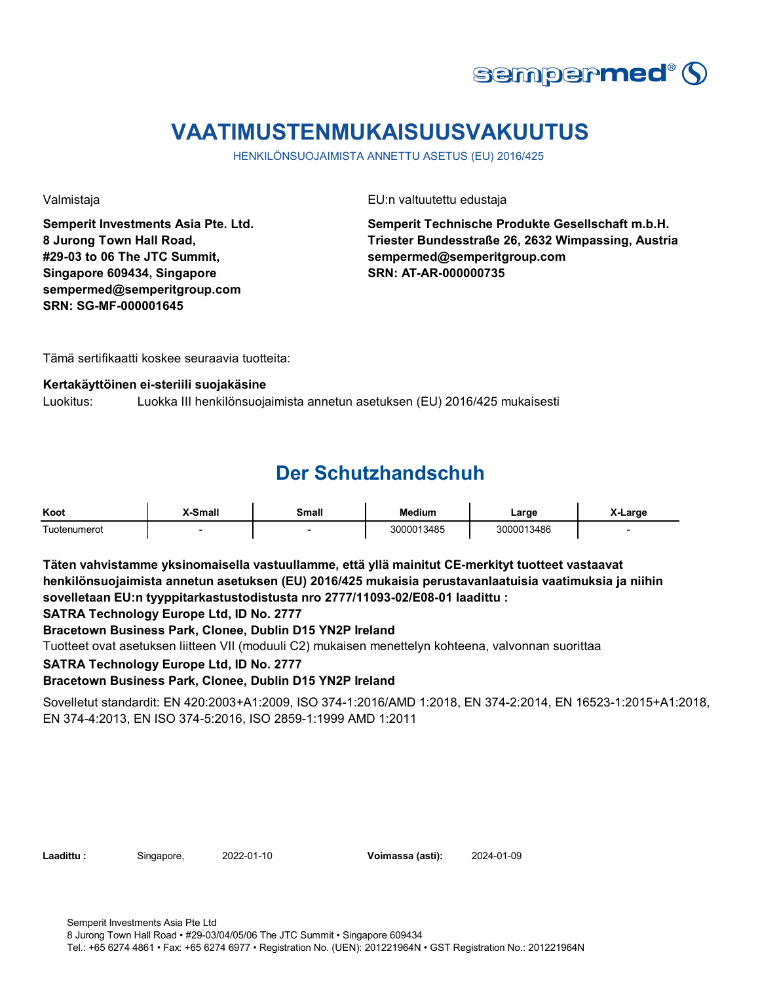

### **VAATIMUSTENMUKAISUUSVAKUUTUS**

HENKILÖNSUOJAIMISTA ANNETTU ASETUS (EU) 2016/425

**Semperit Investments Asia Pte. Ltd. 8 Jurong Town Hall Road, #29-03 to 06 The JTC Summit, Singapore 609434, Singapore sempermed@semperitgroup.com SRN: SG-MF-000001645**

Valmistaja EU:n valtuutettu edustaja

**Semperit Technische Produkte Gesellschaft m.b.H. Triester Bundesstraße 26, 2632 Wimpassing, Austria sempermed@semperitgroup.com SRN: AT-AR-000000735**

Tämä sertifikaatti koskee seuraavia tuotteita:

### **Kertakäyttöinen ei-steriili suojakäsine**

Luokitus: Luokka III henkilönsuojaimista annetun asetuksen (EU) 2016/425 mukaisesti

### **Der Schutzhandschuh**

| Koot                                     | (-Small | Small<br>_____ | Medium     | Large<br>$\sim$ | X-Larɑe |
|------------------------------------------|---------|----------------|------------|-----------------|---------|
| $\overline{\phantom{0}}$<br>Tuotenumerot |         |                | 3000013485 | 3000013486      |         |

**Täten vahvistamme yksinomaisella vastuullamme, että yllä mainitut CE-merkityt tuotteet vastaavat henkilönsuojaimista annetun asetuksen (EU) 2016/425 mukaisia perustavanlaatuisia vaatimuksia ja niihin sovelletaan EU:n tyyppitarkastustodistusta nro 2777/11093-02/E08-01 laadittu :**

**SATRA Technology Europe Ltd, ID No. 2777**

**Bracetown Business Park, Clonee, Dublin D15 YN2P Ireland**

Tuotteet ovat asetuksen liitteen VII (moduuli C2) mukaisen menettelyn kohteena, valvonnan suorittaa

**SATRA Technology Europe Ltd, ID No. 2777**

#### **Bracetown Business Park, Clonee, Dublin D15 YN2P Ireland**

Sovelletut standardit: EN 420:2003+A1:2009, ISO 374-1:2016/AMD 1:2018, EN 374-2:2014, EN 16523-1:2015+A1:2018, EN 374-4:2013, EN ISO 374-5:2016, ISO 2859-1:1999 AMD 1:2011

**Laadittu :** Singapore, **Voimassa (asti):** 2022-01-10 2024-01-09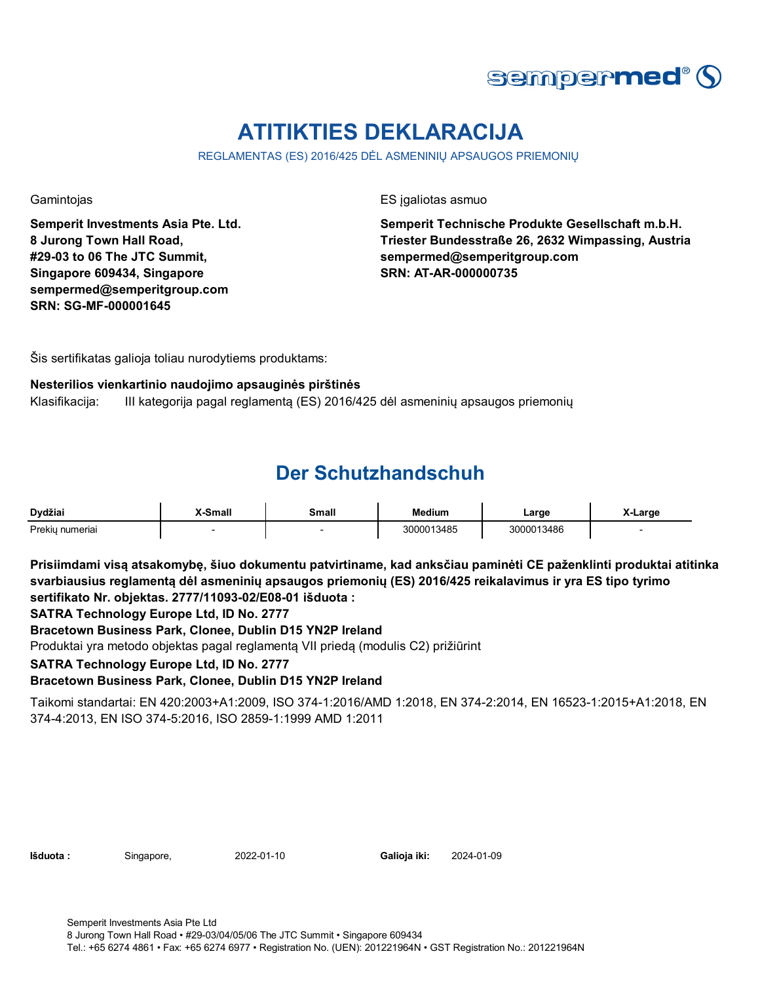

## **ATITIKTIES DEKLARACIJA**

REGLAMENTAS (ES) 2016/425 DĖL ASMENINIŲ APSAUGOS PRIEMONIŲ

**Semperit Investments Asia Pte. Ltd. 8 Jurong Town Hall Road, #29-03 to 06 The JTC Summit, Singapore 609434, Singapore sempermed@semperitgroup.com SRN: SG-MF-000001645**

Gamintojas ES įgaliotas asmuo

**Semperit Technische Produkte Gesellschaft m.b.H. Triester Bundesstraße 26, 2632 Wimpassing, Austria sempermed@semperitgroup.com SRN: AT-AR-000000735**

Šis sertifikatas galioja toliau nurodytiems produktams:

### **Nesterilios vienkartinio naudojimo apsauginės pirštinės**

Klasifikacija: III kategorija pagal reglamentą (ES) 2016/425 dėl asmeninių apsaugos priemonių

### **Der Schutzhandschuh**

| Dydžiai         | X-Small | Small | Medium    | ∟arɑe      | X-Large |
|-----------------|---------|-------|-----------|------------|---------|
| Prekiu numeriai |         |       | 000013485 | 3000013486 |         |

**Prisiimdami visą atsakomybę, šiuo dokumentu patvirtiname, kad anksčiau paminėti CE paženklinti produktai atitinka svarbiausius reglamentą dėl asmeninių apsaugos priemonių (ES) 2016/425 reikalavimus ir yra ES tipo tyrimo sertifikato Nr. objektas. 2777/11093-02/E08-01 išduota :**

**SATRA Technology Europe Ltd, ID No. 2777**

**Bracetown Business Park, Clonee, Dublin D15 YN2P Ireland**

Produktai yra metodo objektas pagal reglamentą VII priedą (modulis C2) prižiūrint

**SATRA Technology Europe Ltd, ID No. 2777**

**Bracetown Business Park, Clonee, Dublin D15 YN2P Ireland**

Taikomi standartai: EN 420:2003+A1:2009, ISO 374-1:2016/AMD 1:2018, EN 374-2:2014, EN 16523-1:2015+A1:2018, EN 374-4:2013, EN ISO 374-5:2016, ISO 2859-1:1999 AMD 1:2011

| lšduota : |  |
|-----------|--|
|           |  |

**Išduota :** Singapore, **Galioja iki:** 2022-01-10 2024-01-09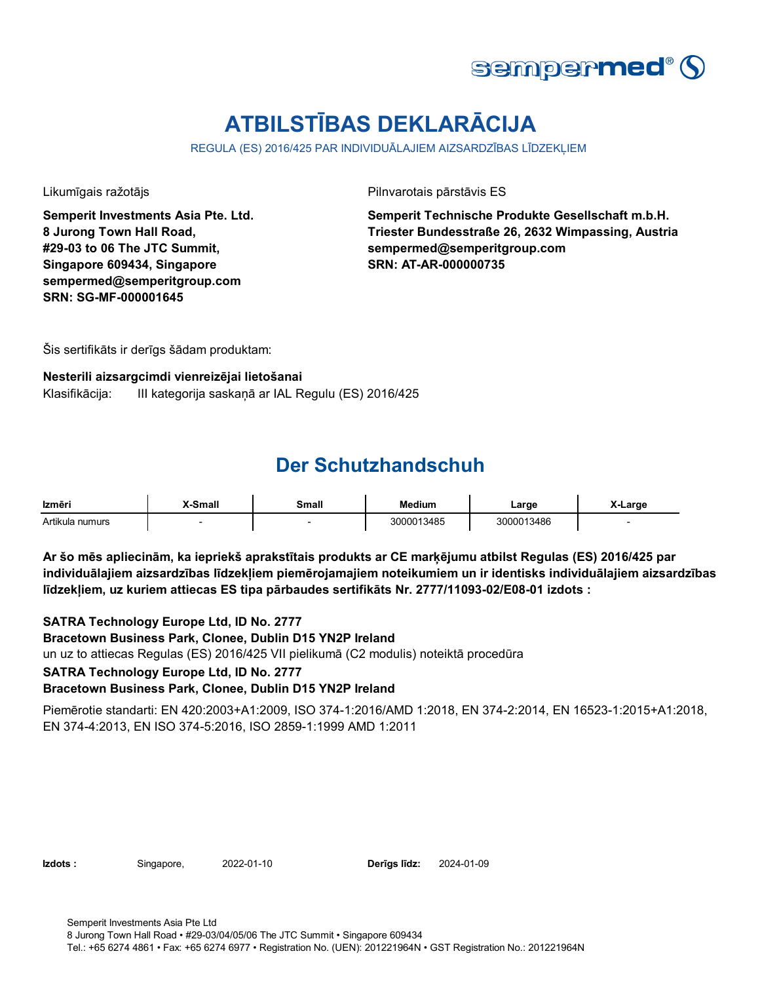

# **ATBILSTĪBAS DEKLARĀCIJA**

REGULA (ES) 2016/425 PAR INDIVIDUĀLAJIEM AIZSARDZĪBAS LĪDZEKLIEM

**Semperit Investments Asia Pte. Ltd. 8 Jurong Town Hall Road, #29-03 to 06 The JTC Summit, Singapore 609434, Singapore sempermed@semperitgroup.com SRN: SG-MF-000001645**

Likumīgais ražotājs Pilnvarotais pārstāvis ES

**Semperit Technische Produkte Gesellschaft m.b.H. Triester Bundesstraße 26, 2632 Wimpassing, Austria sempermed@semperitgroup.com SRN: AT-AR-000000735**

Šis sertifikāts ir derīgs šādam produktam:

#### **Nesterili aizsargcimdi vienreizējai lietošanai**

Klasifikācija: III kategorija saskaņā ar IAL Regulu (ES) 2016/425

### **Der Schutzhandschuh**

| Izmēri          | <b>K-Small</b> | Small | <b>Medium</b> | Large      | X-Large |
|-----------------|----------------|-------|---------------|------------|---------|
| Artikula numurs |                |       | 3000013485    | 3000013486 |         |

**Ar šo mēs apliecinām, ka iepriekš aprakstītais produkts ar CE marķējumu atbilst Regulas (ES) 2016/425 par individuālajiem aizsardzības līdzekļiem piemērojamajiem noteikumiem un ir identisks individuālajiem aizsardzības līdzekļiem, uz kuriem attiecas ES tipa pārbaudes sertifikāts Nr. 2777/11093-02/E08-01 izdots :**

**SATRA Technology Europe Ltd, ID No. 2777**

**Bracetown Business Park, Clonee, Dublin D15 YN2P Ireland**

un uz to attiecas Regulas (ES) 2016/425 VII pielikumā (C2 modulis) noteiktā procedūra

**SATRA Technology Europe Ltd, ID No. 2777**

#### **Bracetown Business Park, Clonee, Dublin D15 YN2P Ireland**

Piemērotie standarti: EN 420:2003+A1:2009, ISO 374-1:2016/AMD 1:2018, EN 374-2:2014, EN 16523-1:2015+A1:2018, EN 374-4:2013, EN ISO 374-5:2016, ISO 2859-1:1999 AMD 1:2011

**Izdots :** Singapore, 2022-01-10 **Derīgs līdz:** 2024-01-09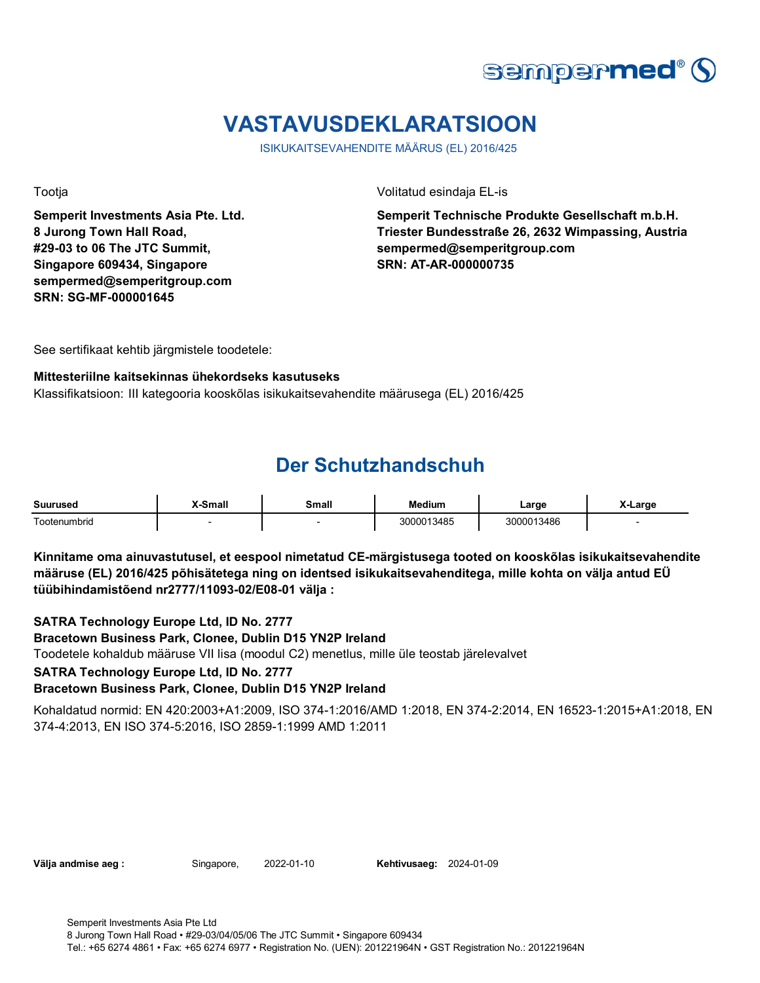

## **VASTAVUSDEKLARATSIOON**

ISIKUKAITSEVAHENDITE MÄÄRUS (EL) 2016/425

**Semperit Investments Asia Pte. Ltd. 8 Jurong Town Hall Road, #29-03 to 06 The JTC Summit, Singapore 609434, Singapore sempermed@semperitgroup.com SRN: SG-MF-000001645**

Tootja Volitatud esindaja EL-is

**Semperit Technische Produkte Gesellschaft m.b.H. Triester Bundesstraße 26, 2632 Wimpassing, Austria sempermed@semperitgroup.com SRN: AT-AR-000000735**

See sertifikaat kehtib järgmistele toodetele:

#### **Mittesteriilne kaitsekinnas ühekordseks kasutuseks**

Klassifikatsioon: III kategooria kooskõlas isikukaitsevahendite määrusega (EL) 2016/425

### **Der Schutzhandschuh**

| Suurused                                  | -Small | small | <b>Medium</b> | Large      | ∧-Large |
|-------------------------------------------|--------|-------|---------------|------------|---------|
| $\overline{\phantom{0}}$<br>l ootenumbrid |        |       | 13485         | 3000013486 |         |

**Kinnitame oma ainuvastutusel, et eespool nimetatud CE-märgistusega tooted on kooskõlas isikukaitsevahendite määruse (EL) 2016/425 põhisätetega ning on identsed isikukaitsevahenditega, mille kohta on välja antud EÜ tüübihindamistõend nr2777/11093-02/E08-01 välja :**

**SATRA Technology Europe Ltd, ID No. 2777**

**Bracetown Business Park, Clonee, Dublin D15 YN2P Ireland**

Toodetele kohaldub määruse VII lisa (moodul C2) menetlus, mille üle teostab järelevalvet

**SATRA Technology Europe Ltd, ID No. 2777**

#### **Bracetown Business Park, Clonee, Dublin D15 YN2P Ireland**

Kohaldatud normid: EN 420:2003+A1:2009, ISO 374-1:2016/AMD 1:2018, EN 374-2:2014, EN 16523-1:2015+A1:2018, EN 374-4:2013, EN ISO 374-5:2016, ISO 2859-1:1999 AMD 1:2011

**Välja andmise aeg :** Singapore, 2022-01-10

**Kehtivusaeg: 2024-01-09**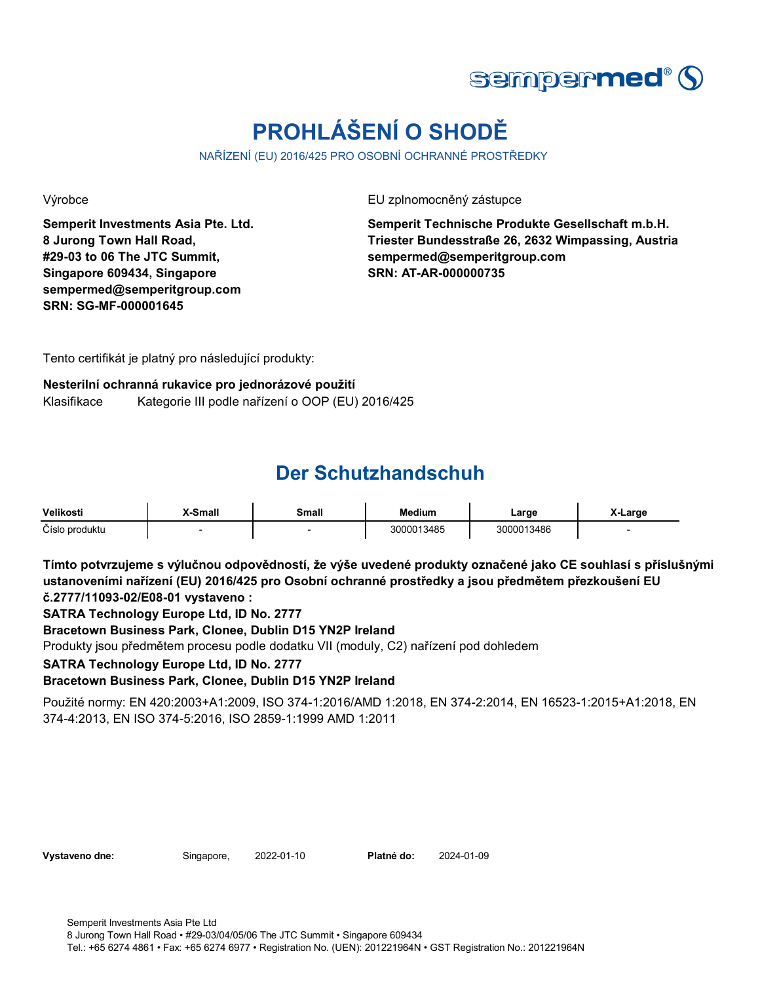

# **PROHLÁŠENÍ O SHODĚ**

NAŘÍZENÍ (EU) 2016/425 PRO OSOBNÍ OCHRANNÉ PROSTŘEDKY

**Semperit Investments Asia Pte. Ltd. 8 Jurong Town Hall Road, #29-03 to 06 The JTC Summit, Singapore 609434, Singapore sempermed@semperitgroup.com SRN: SG-MF-000001645**

Výrobce EU zplnomocněný zástupce

**Semperit Technische Produkte Gesellschaft m.b.H. Triester Bundesstraße 26, 2632 Wimpassing, Austria sempermed@semperitgroup.com SRN: AT-AR-000000735**

Tento certifikát je platný pro následující produkty:

### **Nesterilní ochranná rukavice pro jednorázové použití** Klasifikace Kategorie III podle nařízení o OOP (EU) 2016/425

### **Der Schutzhandschuh**

| Velikosti      | <b>K-Small</b> | Small | <b>Medium</b> | Large      | X-Large |
|----------------|----------------|-------|---------------|------------|---------|
| Císlo produktu |                |       | 3000013485    | 3000013486 |         |

**Tímto potvrzujeme s výlučnou odpovědností, že výše uvedené produkty označené jako CE souhlasí s příslušnými ustanoveními nařízení (EU) 2016/425 pro Osobní ochranné prostředky a jsou předmětem přezkoušení EU č.2777/11093-02/E08-01 vystaveno :**

**SATRA Technology Europe Ltd, ID No. 2777**

**Bracetown Business Park, Clonee, Dublin D15 YN2P Ireland**

Produkty jsou předmětem procesu podle dodatku VII (moduly, C2) nařízení pod dohledem

**SATRA Technology Europe Ltd, ID No. 2777**

**Bracetown Business Park, Clonee, Dublin D15 YN2P Ireland**

Použité normy: EN 420:2003+A1:2009, ISO 374-1:2016/AMD 1:2018, EN 374-2:2014, EN 16523-1:2015+A1:2018, EN 374-4:2013, EN ISO 374-5:2016, ISO 2859-1:1999 AMD 1:2011

|  | Vystaveno dne: |  |
|--|----------------|--|
|--|----------------|--|

**Singapore, 2022-01-10** 

Platné do: 2024-01-09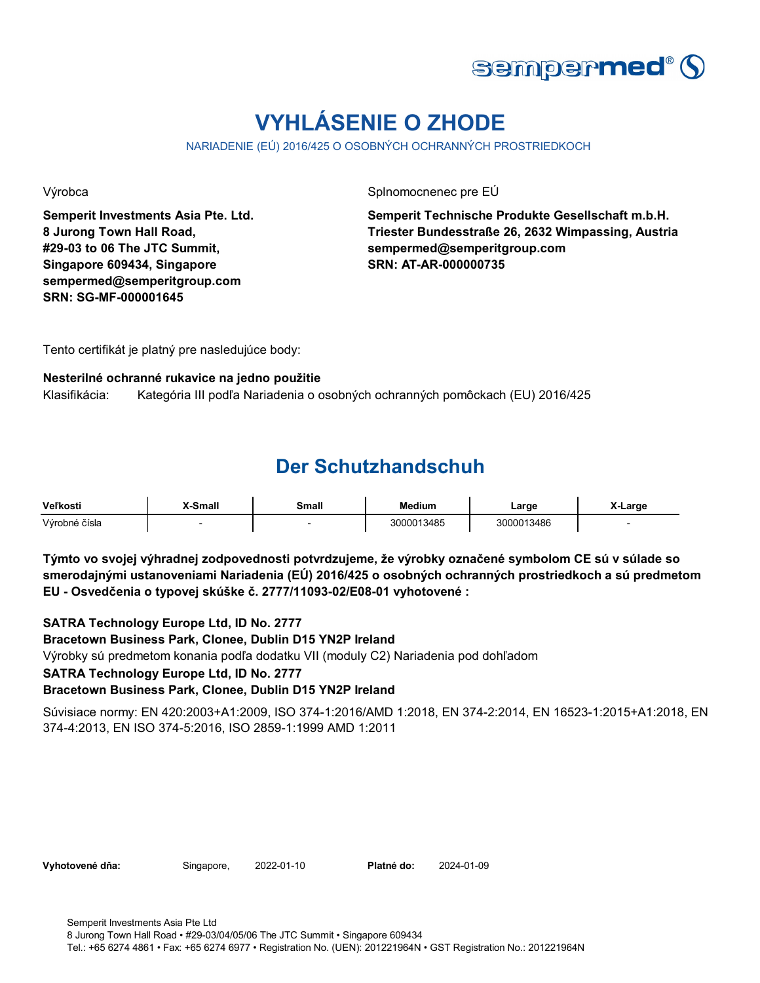

# **VYHLÁSENIE O ZHODE**

NARIADENIE (EÚ) 2016/425 O OSOBNÝCH OCHRANNÝCH PROSTRIEDKOCH

**Semperit Investments Asia Pte. Ltd. 8 Jurong Town Hall Road, #29-03 to 06 The JTC Summit, Singapore 609434, Singapore sempermed@semperitgroup.com SRN: SG-MF-000001645**

Výrobca **Splnomocnenec pre EÚ** 

**Semperit Technische Produkte Gesellschaft m.b.H. Triester Bundesstraße 26, 2632 Wimpassing, Austria sempermed@semperitgroup.com SRN: AT-AR-000000735**

Tento certifikát je platný pre nasledujúce body:

#### **Nesterilné ochranné rukavice na jedno použitie**

Klasifikácia: Kategória III podľa Nariadenia o osobných ochranných pomôckach (EU) 2016/425

### **Der Schutzhandschuh**

| Veľkosti      | X-Small | Small | <b>Medium</b> | ∟arɑe      | X-Large |
|---------------|---------|-------|---------------|------------|---------|
| Výrobné čísla |         |       | 3000013485    | 3000013486 |         |

**Týmto vo svojej výhradnej zodpovednosti potvrdzujeme, že výrobky označené symbolom CE sú v súlade so smerodajnými ustanoveniami Nariadenia (EÚ) 2016/425 o osobných ochranných prostriedkoch a sú predmetom EU - Osvedčenia o typovej skúške č. 2777/11093-02/E08-01 vyhotovené :**

**SATRA Technology Europe Ltd, ID No. 2777**

**Bracetown Business Park, Clonee, Dublin D15 YN2P Ireland**

Výrobky sú predmetom konania podľa dodatku VII (moduly C2) Nariadenia pod dohľadom

**SATRA Technology Europe Ltd, ID No. 2777**

**Bracetown Business Park, Clonee, Dublin D15 YN2P Ireland**

Súvisiace normy: EN 420:2003+A1:2009, ISO 374-1:2016/AMD 1:2018, EN 374-2:2014, EN 16523-1:2015+A1:2018, EN 374-4:2013, EN ISO 374-5:2016, ISO 2859-1:1999 AMD 1:2011

Vyhotovené dňa: Singapore, 2022-01-10 Platné do:

2022-01-10 2024-01-09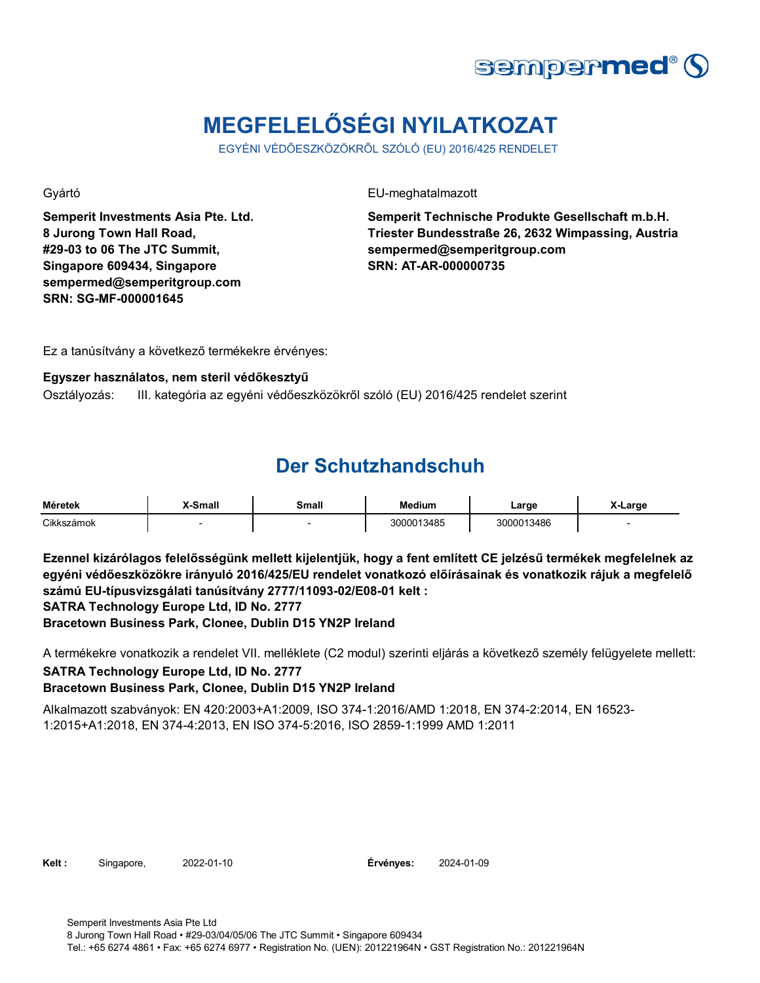

# **MEGFELELŐSÉGI NYILATKOZAT**

EGYÉNI VÉDŐESZKÖZÖKRŐL SZÓLÓ (EU) 2016/425 RENDELET

**Semperit Investments Asia Pte. Ltd. 8 Jurong Town Hall Road, #29-03 to 06 The JTC Summit, Singapore 609434, Singapore sempermed@semperitgroup.com SRN: SG-MF-000001645**

Gyártó EU-meghatalmazott

**Semperit Technische Produkte Gesellschaft m.b.H. Triester Bundesstraße 26, 2632 Wimpassing, Austria sempermed@semperitgroup.com SRN: AT-AR-000000735**

Ez a tanúsítvány a következő termékekre érvényes:

### **Egyszer használatos, nem steril védőkesztyű**

Osztályozás: III. kategória az egyéni védőeszközökről szóló (EU) 2016/425 rendelet szerint

### **Der Schutzhandschuh**

| Méretek    | -Small | Small | <b>Medium</b><br>$\sim$ $\sim$ $\sim$ | ∟arɑe      | -Large |
|------------|--------|-------|---------------------------------------|------------|--------|
| Cikkszámok |        |       | 3000013485                            | 3000013486 |        |

**Ezennel kizárólagos felelősségünk mellett kijelentjük, hogy a fent említett CE jelzésű termékek megfelelnek az egyéni védőeszközökre irányuló 2016/425/EU rendelet vonatkozó előírásainak és vonatkozik rájuk a megfelelő számú EU-típusvizsgálati tanúsítvány 2777/11093-02/E08-01 kelt : SATRA Technology Europe Ltd, ID No. 2777**

**Bracetown Business Park, Clonee, Dublin D15 YN2P Ireland**

A termékekre vonatkozik a rendelet VII. melléklete (C2 modul) szerinti eljárás a következő személy felügyelete mellett: **SATRA Technology Europe Ltd, ID No. 2777**

### **Bracetown Business Park, Clonee, Dublin D15 YN2P Ireland**

Alkalmazott szabványok: EN 420:2003+A1:2009, ISO 374-1:2016/AMD 1:2018, EN 374-2:2014, EN 16523- 1:2015+A1:2018, EN 374-4:2013, EN ISO 374-5:2016, ISO 2859-1:1999 AMD 1:2011

**Kelt :** Singapore, 2022-01-10

**Érvényes:** 2024-01-09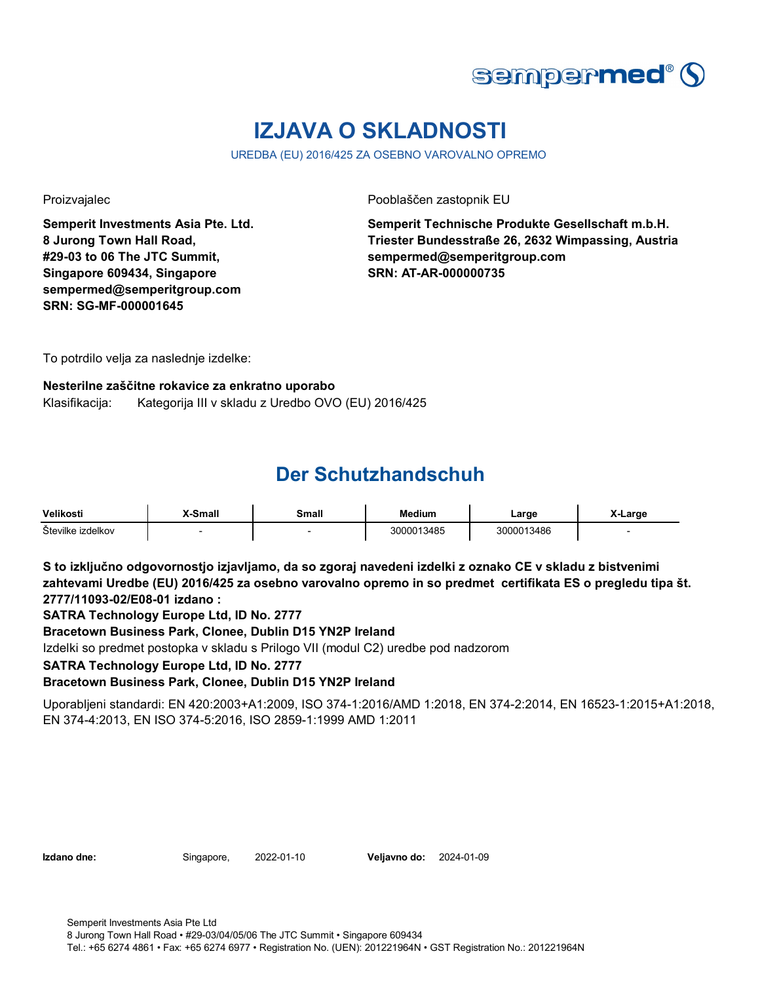

## **IZJAVA O SKLADNOSTI**

UREDBA (EU) 2016/425 ZA OSEBNO VAROVALNO OPREMO

**Semperit Investments Asia Pte. Ltd. 8 Jurong Town Hall Road, #29-03 to 06 The JTC Summit, Singapore 609434, Singapore sempermed@semperitgroup.com SRN: SG-MF-000001645**

Proizvajalec Pooblaščen zastopnik EU

**Semperit Technische Produkte Gesellschaft m.b.H. Triester Bundesstraße 26, 2632 Wimpassing, Austria sempermed@semperitgroup.com SRN: AT-AR-000000735**

To potrdilo velja za naslednje izdelke:

### **Nesterilne zaščitne rokavice za enkratno uporabo** Klasifikacija: Kategorija III v skladu z Uredbo OVO (EU) 2016/425

### **Der Schutzhandschuh**

| <b>Velikost</b>      | X-Small | `malı | <b>Medium</b> | Large     | Larɑe |
|----------------------|---------|-------|---------------|-----------|-------|
| Stevilke<br>izdelkov |         |       | 3000013485    | 000013486 |       |

**S to izključno odgovornostjo izjavljamo, da so zgoraj navedeni izdelki z oznako CE v skladu z bistvenimi zahtevami Uredbe (EU) 2016/425 za osebno varovalno opremo in so predmet certifikata ES o pregledu tipa št. 2777/11093-02/E08-01 izdano :**

**SATRA Technology Europe Ltd, ID No. 2777**

**Bracetown Business Park, Clonee, Dublin D15 YN2P Ireland**

Izdelki so predmet postopka v skladu s Prilogo VII (modul C2) uredbe pod nadzorom

**SATRA Technology Europe Ltd, ID No. 2777**

**Bracetown Business Park, Clonee, Dublin D15 YN2P Ireland**

Uporabljeni standardi: EN 420:2003+A1:2009, ISO 374-1:2016/AMD 1:2018, EN 374-2:2014, EN 16523-1:2015+A1:2018, EN 374-4:2013, EN ISO 374-5:2016, ISO 2859-1:1999 AMD 1:2011

**Izdano dne:** Singapore, **Veljavno do:** 2022-01-10 2024-01-09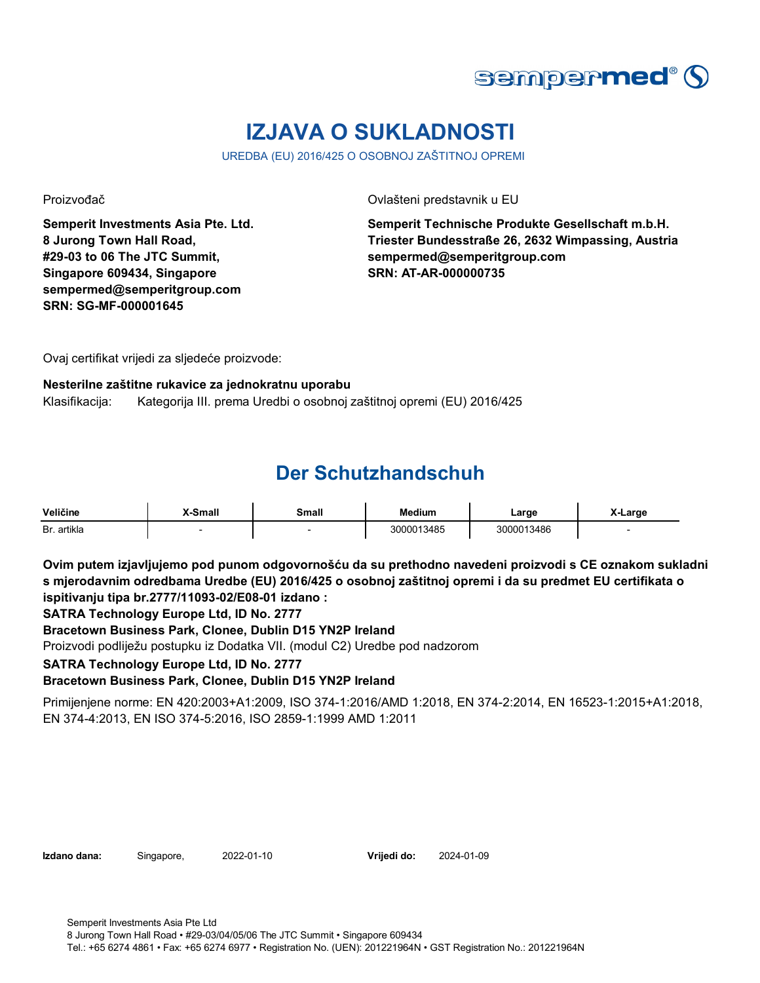

### **IZJAVA O SUKLADNOSTI**

UREDBA (EU) 2016/425 O OSOBNOJ ZAŠTITNOJ OPREMI

**Semperit Investments Asia Pte. Ltd. 8 Jurong Town Hall Road, #29-03 to 06 The JTC Summit, Singapore 609434, Singapore sempermed@semperitgroup.com SRN: SG-MF-000001645**

Proizvođač Ovlašteni predstavnik u EU

**Semperit Technische Produkte Gesellschaft m.b.H. Triester Bundesstraße 26, 2632 Wimpassing, Austria sempermed@semperitgroup.com SRN: AT-AR-000000735**

Ovaj certifikat vrijedi za sljedeće proizvode:

### **Nesterilne zaštitne rukavice za jednokratnu uporabu**

Klasifikacija: Kategorija III. prema Uredbi o osobnoj zaštitnoj opremi (EU) 2016/425

### **Der Schutzhandschuh**

| Veličine    | <b>K-Small</b> | Small | <b>Medium</b> | ∟arge      | ∧-Large |
|-------------|----------------|-------|---------------|------------|---------|
| Br. artikla |                |       | 3000013485    | 3000013486 |         |

**Ovim putem izjavljujemo pod punom odgovornošću da su prethodno navedeni proizvodi s CE oznakom sukladni s mjerodavnim odredbama Uredbe (EU) 2016/425 o osobnoj zaštitnoj opremi i da su predmet EU certifikata o ispitivanju tipa br.2777/11093-02/E08-01 izdano :**

**SATRA Technology Europe Ltd, ID No. 2777**

**Bracetown Business Park, Clonee, Dublin D15 YN2P Ireland**

Proizvodi podliježu postupku iz Dodatka VII. (modul C2) Uredbe pod nadzorom

**SATRA Technology Europe Ltd, ID No. 2777**

**Bracetown Business Park, Clonee, Dublin D15 YN2P Ireland**

Primijenjene norme: EN 420:2003+A1:2009, ISO 374-1:2016/AMD 1:2018, EN 374-2:2014, EN 16523-1:2015+A1:2018, EN 374-4:2013, EN ISO 374-5:2016, ISO 2859-1:1999 AMD 1:2011

**Izdano dana:** Singapore, 2022-01-10

**Vrijedi do:** 2024-01-09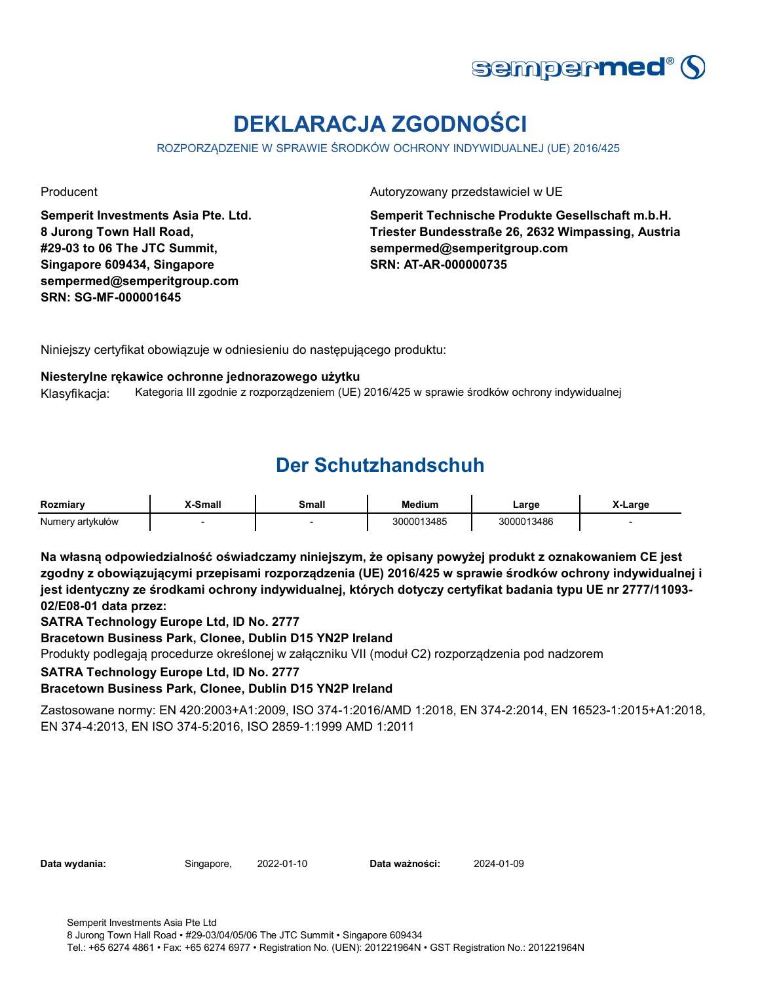

# **DEKLARACJA ZGODNOŚCI**

ROZPORZĄDZENIE W SPRAWIE ŚRODKÓW OCHRONY INDYWIDUALNEJ (UE) 2016/425

**Semperit Investments Asia Pte. Ltd. 8 Jurong Town Hall Road, #29-03 to 06 The JTC Summit, Singapore 609434, Singapore sempermed@semperitgroup.com SRN: SG-MF-000001645**

Producent **Autoryzowany przedstawiciel w UE** 

**Semperit Technische Produkte Gesellschaft m.b.H. Triester Bundesstraße 26, 2632 Wimpassing, Austria sempermed@semperitgroup.com SRN: AT-AR-000000735**

Niniejszy certyfikat obowiązuje w odniesieniu do następującego produktu:

#### **Niesterylne rękawice ochronne jednorazowego użytku**

Klasyfikacja: Kategoria III zgodnie z rozporządzeniem (UE) 2016/425 w sprawie środków ochrony indywidualnej

### **Der Schutzhandschuh**

| Rozmiary         | -Small | Small | <b>Medium</b> | ∟arge      | X-Larɑe |
|------------------|--------|-------|---------------|------------|---------|
| Numery artykułów |        |       | 3000013485    | 3000013486 |         |

**Na własną odpowiedzialność oświadczamy niniejszym, że opisany powyżej produkt z oznakowaniem CE jest zgodny z obowiązującymi przepisami rozporządzenia (UE) 2016/425 w sprawie środków ochrony indywidualnej i jest identyczny ze środkami ochrony indywidualnej, których dotyczy certyfikat badania typu UE nr 2777/11093- 02/E08-01 data przez:**

**SATRA Technology Europe Ltd, ID No. 2777**

**Bracetown Business Park, Clonee, Dublin D15 YN2P Ireland**

Produkty podlegają procedurze określonej w załączniku VII (moduł C2) rozporządzenia pod nadzorem

**SATRA Technology Europe Ltd, ID No. 2777**

**Bracetown Business Park, Clonee, Dublin D15 YN2P Ireland**

Zastosowane normy: EN 420:2003+A1:2009, ISO 374-1:2016/AMD 1:2018, EN 374-2:2014, EN 16523-1:2015+A1:2018, EN 374-4:2013, EN ISO 374-5:2016, ISO 2859-1:1999 AMD 1:2011

**Data wydania:** Singapore, **Data ważności:** 2022-01-10 2024-01-09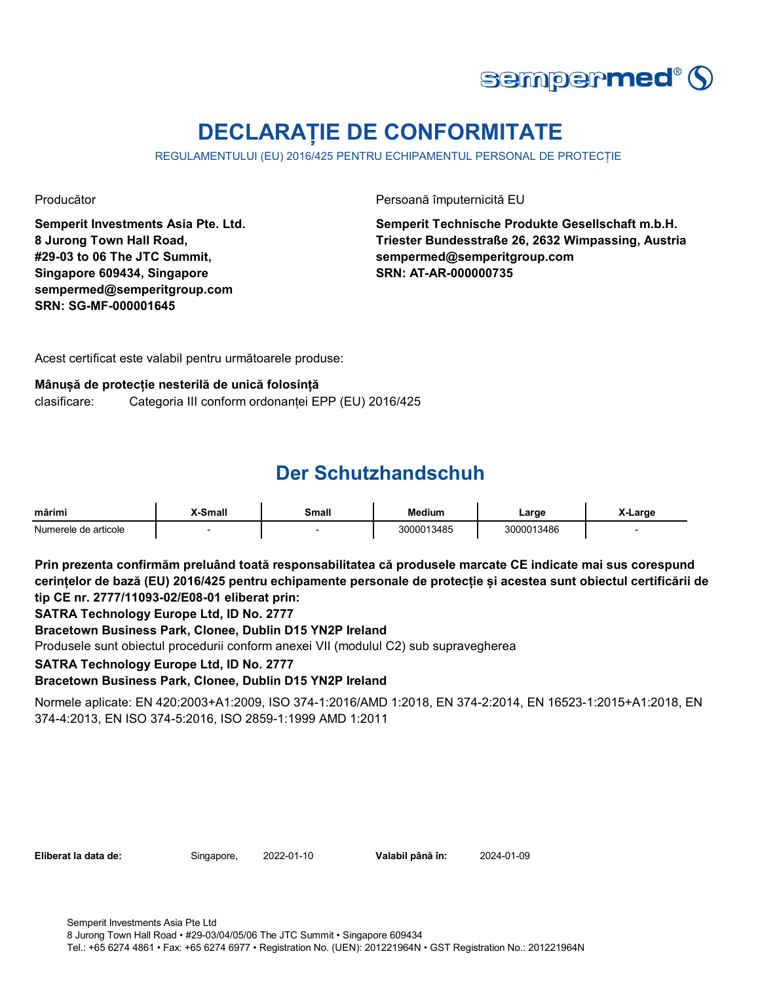

## **DECLARAȚIE DE CONFORMITATE**

REGULAMENTULUI (EU) 2016/425 PENTRU ECHIPAMENTUL PERSONAL DE PROTECȚIE

**Semperit Investments Asia Pte. Ltd. 8 Jurong Town Hall Road, #29-03 to 06 The JTC Summit, Singapore 609434, Singapore sempermed@semperitgroup.com SRN: SG-MF-000001645**

Producător Persoană împuternicită EU

**Semperit Technische Produkte Gesellschaft m.b.H. Triester Bundesstraße 26, 2632 Wimpassing, Austria sempermed@semperitgroup.com SRN: AT-AR-000000735**

Acest certificat este valabil pentru următoarele produse:

### **Mânușă de protecție nesterilă de unică folosință**

clasificare: Categoria III conform ordonanței EPP (EU) 2016/425

### **Der Schutzhandschuh**

| mărimi               | Small | <b>Small</b> | <b>Medium</b> | Large      | X-Large |
|----------------------|-------|--------------|---------------|------------|---------|
| Numerele de articole |       |              | 3000013485    | 3000013486 |         |

**Prin prezenta confirmăm preluând toată responsabilitatea că produsele marcate CE indicate mai sus corespund cerințelor de bază (EU) 2016/425 pentru echipamente personale de protecție și acestea sunt obiectul certificării de tip CE nr. 2777/11093-02/E08-01 eliberat prin:**

**SATRA Technology Europe Ltd, ID No. 2777**

**Bracetown Business Park, Clonee, Dublin D15 YN2P Ireland**

Produsele sunt obiectul procedurii conform anexei VII (modulul C2) sub supravegherea

**SATRA Technology Europe Ltd, ID No. 2777**

**Bracetown Business Park, Clonee, Dublin D15 YN2P Ireland**

Normele aplicate: EN 420:2003+A1:2009, ISO 374-1:2016/AMD 1:2018, EN 374-2:2014, EN 16523-1:2015+A1:2018, EN 374-4:2013, EN ISO 374-5:2016, ISO 2859-1:1999 AMD 1:2011

| Eliberat la data de: | Singapore, | 2022-01-10 | Valabil până în: | 2024-01-09 |
|----------------------|------------|------------|------------------|------------|
|----------------------|------------|------------|------------------|------------|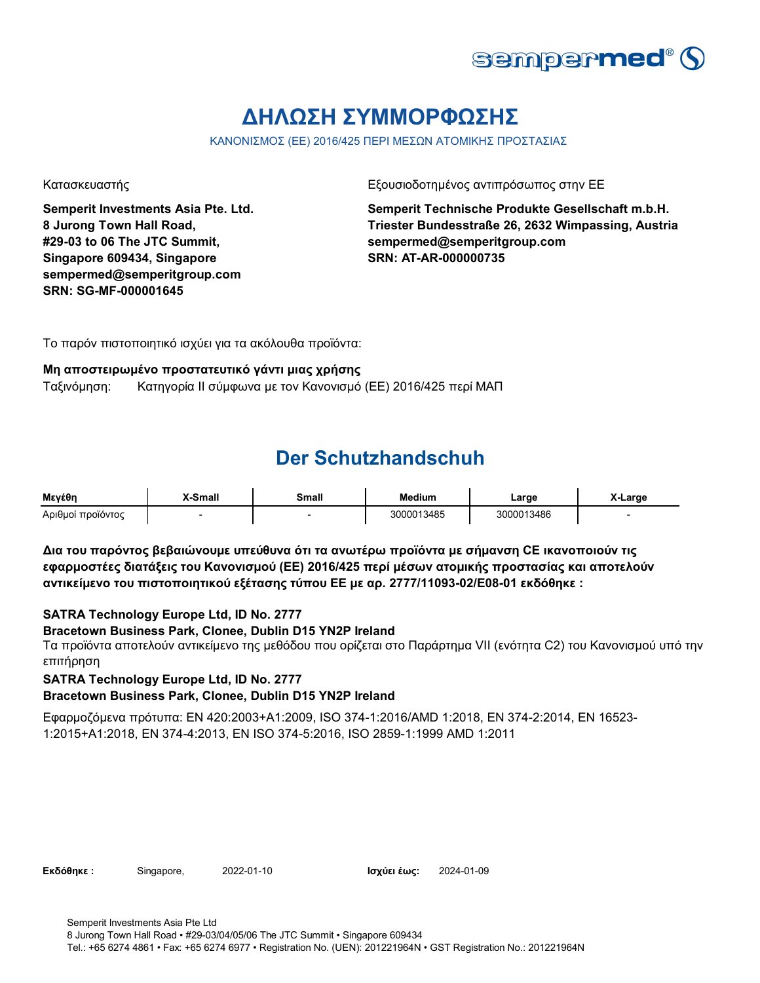

## **ΔΗΛΩΣΗ ΣΥΜΜΟΡΦΩΣΗΣ**

ΚΑΝΟΝΙΣΜΟΣ (ΕΕ) 2016/425 ΠΕΡΙ ΜΕΣΩΝ ΑΤΟΜΙΚΗΣ ΠΡΟΣΤΑΣΙΑΣ

**Semperit Investments Asia Pte. Ltd. 8 Jurong Town Hall Road, #29-03 to 06 The JTC Summit, Singapore 609434, Singapore sempermed@semperitgroup.com SRN: SG-MF-000001645**

Κατασκευαστής Γεριοδοτημένος αντιπρόσωπος στην ΕΕ

**Semperit Technische Produkte Gesellschaft m.b.H. Triester Bundesstraße 26, 2632 Wimpassing, Austria sempermed@semperitgroup.com SRN: AT-AR-000000735**

Το παρόν πιστοποιητικό ισχύει για τα ακόλουθα προϊόντα:

#### **Μη αποστειρωμένο προστατευτικό γάντι μιας χρήσης**

Ταξινόμηση: Κατηγορία II σύμφωνα με τον Κανονισμό (ΕΕ) 2016/425 περί ΜΑΠ

### **Der Schutzhandschuh**

| Μενέθη            | X-Small | Small | <b>Medium</b> | Large      | ∧-Large |
|-------------------|---------|-------|---------------|------------|---------|
| Αριθμοί προϊόντος |         |       | 3000013485    | 3000013486 |         |

**Δια του παρόντος βεβαιώνουμε υπεύθυνα ότι τα ανωτέρω προϊόντα με σήμανση CE ικανοποιούν τις εφαρμοστέες διατάξεις του Κανονισμού (ΕΕ) 2016/425 περί μέσων ατομικής προστασίας και αποτελούν αντικείμενο του πιστοποιητικού εξέτασης τύπου ΕΕ με αρ. 2777/11093-02/E08-01 εκδόθηκε :**

### **SATRA Technology Europe Ltd, ID No. 2777**

### **Bracetown Business Park, Clonee, Dublin D15 YN2P Ireland**

Τα προϊόντα αποτελούν αντικείμενο της μεθόδου που ορίζεται στο Παράρτημα VII (ενότητα C2) του Κανονισμού υπό την επιτήρηση

**SATRA Technology Europe Ltd, ID No. 2777**

#### **Bracetown Business Park, Clonee, Dublin D15 YN2P Ireland**

Εφαρμοζόμενα πρότυπα: EN 420:2003+A1:2009, ISO 374-1:2016/AMD 1:2018, EN 374-2:2014, EN 16523- 1:2015+A1:2018, EN 374-4:2013, EN ISO 374-5:2016, ISO 2859-1:1999 AMD 1:2011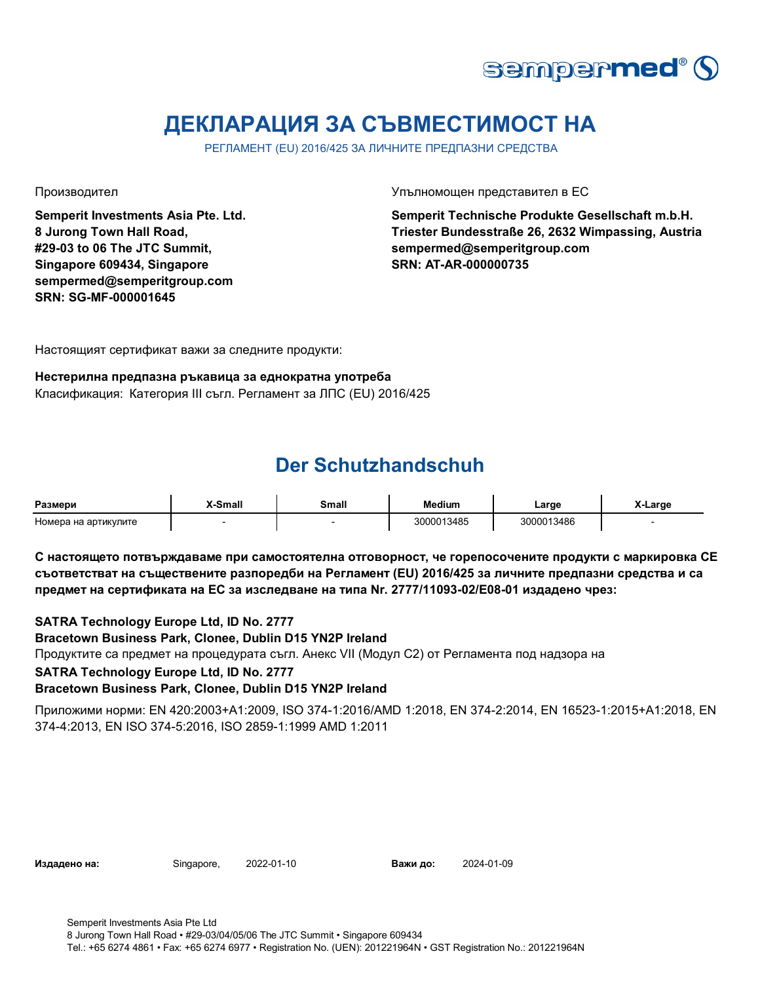

### **ДЕКЛАРАЦИЯ ЗА СЪВМЕСТИМОСТ НА**

РЕГЛАМЕНТ (EU) 2016/425 ЗА ЛИЧНИТЕ ПРЕДПАЗНИ СРЕДСТВА

**Semperit Investments Asia Pte. Ltd. 8 Jurong Town Hall Road, #29-03 to 06 The JTC Summit, Singapore 609434, Singapore sempermed@semperitgroup.com SRN: SG-MF-000001645**

Производител Упълномощен представител в ЕС

**Semperit Technische Produkte Gesellschaft m.b.H. Triester Bundesstraße 26, 2632 Wimpassing, Austria sempermed@semperitgroup.com SRN: AT-AR-000000735**

Настоящият сертификат важи за следните продукти:

### **Нестерилна предпазна ръкавица за еднократна употреба**

Класификация: Категория III съгл. Регламент за ЛПС (EU) 2016/425

### **Der Schutzhandschuh**

| Размери              | -Small | Small | Medium     | _arge      | $\cdot$ $\cdot$<br>X-Large |
|----------------------|--------|-------|------------|------------|----------------------------|
| Номера на артикулите |        |       | 3000013485 | 8000013486 |                            |

**С настоящето потвърждаваме при самостоятелна отговорност, че горепосочените продукти с маркировка СЕ съответстват на съществените разпоредби на Регламент (EU) 2016/425 за личните предпазни средства и са предмет на сертификата на ЕС за изследване на типа Nr. 2777/11093-02/E08-01 издадено чрез:**

**SATRA Technology Europe Ltd, ID No. 2777**

#### **Bracetown Business Park, Clonee, Dublin D15 YN2P Ireland**

Продуктите са предмет на процедурата съгл. Анекс VII (Модул С2) от Регламента под надзора на

**SATRA Technology Europe Ltd, ID No. 2777**

#### **Bracetown Business Park, Clonee, Dublin D15 YN2P Ireland**

Приложими норми: EN 420:2003+A1:2009, ISO 374-1:2016/AMD 1:2018, EN 374-2:2014, EN 16523-1:2015+A1:2018, EN 374-4:2013, EN ISO 374-5:2016, ISO 2859-1:1999 AMD 1:2011

**Издадено на:** Singapore, **Важи до:** 2022-01-10 Важи до: 2024-01-09